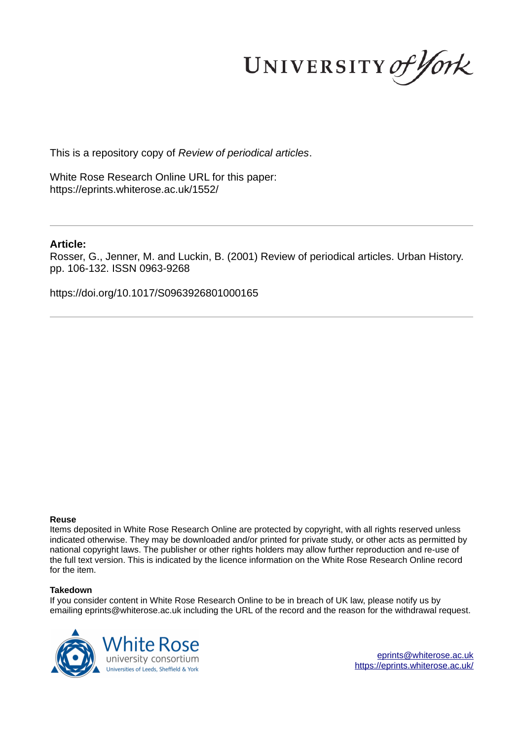UNIVERSITY of York

This is a repository copy of *Review of periodical articles*.

White Rose Research Online URL for this paper: https://eprints.whiterose.ac.uk/1552/

# **Article:**

Rosser, G., Jenner, M. and Luckin, B. (2001) Review of periodical articles. Urban History. pp. 106-132. ISSN 0963-9268

https://doi.org/10.1017/S0963926801000165

# **Reuse**

Items deposited in White Rose Research Online are protected by copyright, with all rights reserved unless indicated otherwise. They may be downloaded and/or printed for private study, or other acts as permitted by national copyright laws. The publisher or other rights holders may allow further reproduction and re-use of the full text version. This is indicated by the licence information on the White Rose Research Online record for the item.

# **Takedown**

If you consider content in White Rose Research Online to be in breach of UK law, please notify us by emailing eprints@whiterose.ac.uk including the URL of the record and the reason for the withdrawal request.



eprints@whiterose.ac.uk https://eprints.whiterose.ac.uk/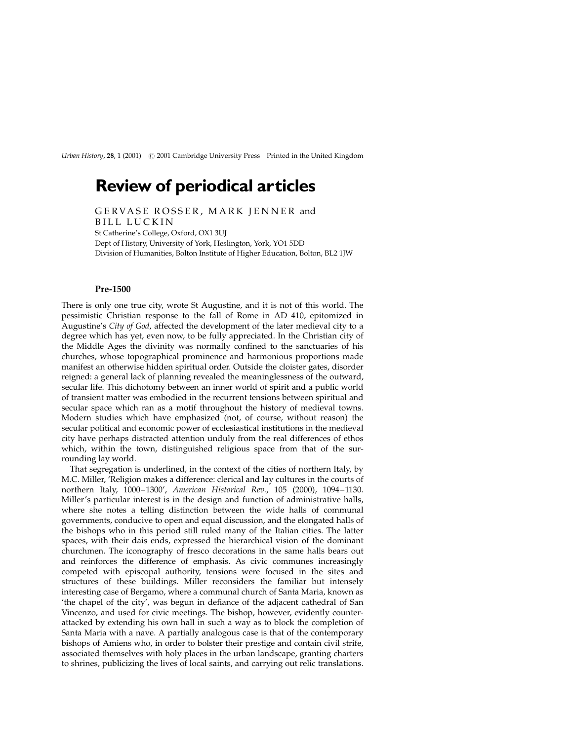Urban History, 28, 1 (2001) # 2001 Cambridge University Press Printed in the United Kingdom

# Review of periodical articles

GERVASE ROSSER, MARK JENNER and BILL LUCKIN St Catherine's College, Oxford, OX1 3UJ Dept of History, University of York, Heslington, York, YO1 5DD Division of Humanities, Bolton Institute of Higher Education, Bolton, BL2 1JW

### Pre-1500

There is only one true city, wrote St Augustine, and it is not of this world. The pessimistic Christian response to the fall of Rome in AD 410, epitomized in Augustine's City of God, affected the development of the later medieval city to a degree which has yet, even now, to be fully appreciated. In the Christian city of the Middle Ages the divinity was normally confined to the sanctuaries of his churches, whose topographical prominence and harmonious proportions made manifest an otherwise hidden spiritual order. Outside the cloister gates, disorder reigned: a general lack of planning revealed the meaninglessness of the outward, secular life. This dichotomy between an inner world of spirit and a public world of transient matter was embodied in the recurrent tensions between spiritual and secular space which ran as a motif throughout the history of medieval towns. Modern studies which have emphasized (not, of course, without reason) the secular political and economic power of ecclesiastical institutions in the medieval city have perhaps distracted attention unduly from the real differences of ethos which, within the town, distinguished religious space from that of the surrounding lay world.

That segregation is underlined, in the context of the cities of northern Italy, by M.C. Miller, `Religion makes a difference: clerical and lay cultures in the courts of northern Italy, 1000-1300', American Historical Rev., 105 (2000), 1094-1130. Miller's particular interest is in the design and function of administrative halls, where she notes a telling distinction between the wide halls of communal governments, conducive to open and equal discussion, and the elongated halls of the bishops who in this period still ruled many of the Italian cities. The latter spaces, with their dais ends, expressed the hierarchical vision of the dominant churchmen. The iconography of fresco decorations in the same halls bears out and reinforces the difference of emphasis. As civic communes increasingly competed with episcopal authority, tensions were focused in the sites and structures of these buildings. Miller reconsiders the familiar but intensely interesting case of Bergamo, where a communal church of Santa Maria, known as 'the chapel of the city', was begun in defiance of the adjacent cathedral of San Vincenzo, and used for civic meetings. The bishop, however, evidently counterattacked by extending his own hall in such a way as to block the completion of Santa Maria with a nave. A partially analogous case is that of the contemporary bishops of Amiens who, in order to bolster their prestige and contain civil strife, associated themselves with holy places in the urban landscape, granting charters to shrines, publicizing the lives of local saints, and carrying out relic translations.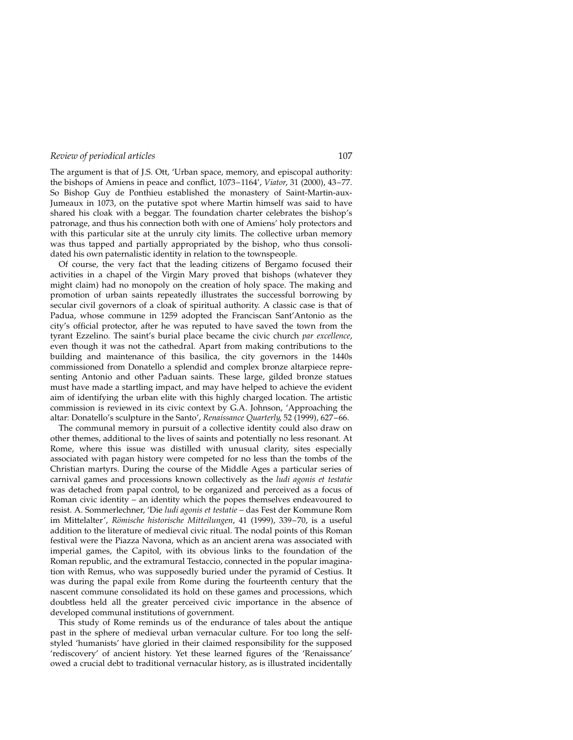The argument is that of J.S. Ott, `Urban space, memory, and episcopal authority: the bishops of Amiens in peace and conflict,  $1073-1164'$ , Viator, 31 (2000), 43-77. So Bishop Guy de Ponthieu established the monastery of Saint-Martin-aux-Jumeaux in 1073, on the putative spot where Martin himself was said to have shared his cloak with a beggar. The foundation charter celebrates the bishop's patronage, and thus his connection both with one of Amiens' holy protectors and with this particular site at the unruly city limits. The collective urban memory was thus tapped and partially appropriated by the bishop, who thus consolidated his own paternalistic identity in relation to the townspeople.

Of course, the very fact that the leading citizens of Bergamo focused their activities in a chapel of the Virgin Mary proved that bishops (whatever they might claim) had no monopoly on the creation of holy space. The making and promotion of urban saints repeatedly illustrates the successful borrowing by secular civil governors of a cloak of spiritual authority. A classic case is that of Padua, whose commune in 1259 adopted the Franciscan Sant'Antonio as the city's official protector, after he was reputed to have saved the town from the tyrant Ezzelino. The saint's burial place became the civic church par excellence, even though it was not the cathedral. Apart from making contributions to the building and maintenance of this basilica, the city governors in the 1440s commissioned from Donatello a splendid and complex bronze altarpiece representing Antonio and other Paduan saints. These large, gilded bronze statues must have made a startling impact, and may have helped to achieve the evident aim of identifying the urban elite with this highly charged location. The artistic commission is reviewed in its civic context by G.A. Johnson, 'Approaching the altar: Donatello's sculpture in the Santo', Renaissance Quarterly, 52 (1999), 627-66.

The communal memory in pursuit of a collective identity could also draw on other themes, additional to the lives of saints and potentially no less resonant. At Rome, where this issue was distilled with unusual clarity, sites especially associated with pagan history were competed for no less than the tombs of the Christian martyrs. During the course of the Middle Ages a particular series of carnival games and processions known collectively as the ludi agonis et testatie was detached from papal control, to be organized and perceived as a focus of Roman civic identity  $-$  an identity which the popes themselves endeavoured to resist. A. Sommerlechner, 'Die ludi agonis et testatie - das Fest der Kommune Rom im Mittelalter', Römische historische Mitteilungen, 41 (1999), 339-70, is a useful addition to the literature of medieval civic ritual. The nodal points of this Roman festival were the Piazza Navona, which as an ancient arena was associated with imperial games, the Capitol, with its obvious links to the foundation of the Roman republic, and the extramural Testaccio, connected in the popular imagination with Remus, who was supposedly buried under the pyramid of Cestius. It was during the papal exile from Rome during the fourteenth century that the nascent commune consolidated its hold on these games and processions, which doubtless held all the greater perceived civic importance in the absence of developed communal institutions of government.

This study of Rome reminds us of the endurance of tales about the antique past in the sphere of medieval urban vernacular culture. For too long the selfstyled `humanists' have gloried in their claimed responsibility for the supposed 'rediscovery' of ancient history. Yet these learned figures of the 'Renaissance' owed a crucial debt to traditional vernacular history, as is illustrated incidentally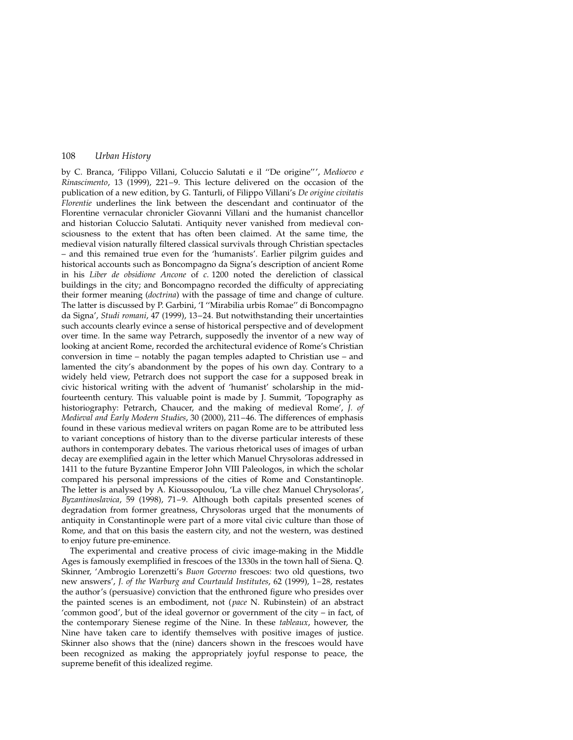by C. Branca, 'Filippo Villani, Coluccio Salutati e il "De origine"', Medioevo e Rinascimento, 13 (1999), 221 $-9$ . This lecture delivered on the occasion of the publication of a new edition, by G. Tanturli, of Filippo Villani's De origine civitatis Florentie underlines the link between the descendant and continuator of the Florentine vernacular chronicler Giovanni Villani and the humanist chancellor and historian Coluccio Salutati. Antiquity never vanished from medieval consciousness to the extent that has often been claimed. At the same time, the medieval vision naturally filtered classical survivals through Christian spectacles ± and this remained true even for the `humanists'. Earlier pilgrim guides and historical accounts such as Boncompagno da Signa's description of ancient Rome in his Liber de obsidione Ancone of c. 1200 noted the dereliction of classical buildings in the city; and Boncompagno recorded the difficulty of appreciating their former meaning (doctrina) with the passage of time and change of culture. The latter is discussed by P. Garbini, 'I "Mirabilia urbis Romae" di Boncompagno da Signa', Studi romani, 47 (1999), 13-24. But notwithstanding their uncertainties such accounts clearly evince a sense of historical perspective and of development over time. In the same way Petrarch, supposedly the inventor of a new way of looking at ancient Rome, recorded the architectural evidence of Rome's Christian conversion in time  $-$  notably the pagan temples adapted to Christian use  $-$  and lamented the city's abandonment by the popes of his own day. Contrary to a widely held view, Petrarch does not support the case for a supposed break in civic historical writing with the advent of `humanist' scholarship in the midfourteenth century. This valuable point is made by J. Summit, 'Topography as historiography: Petrarch, Chaucer, and the making of medieval Rome', J. of Medieval and Early Modern Studies, 30 (2000), 211-46. The differences of emphasis found in these various medieval writers on pagan Rome are to be attributed less to variant conceptions of history than to the diverse particular interests of these authors in contemporary debates. The various rhetorical uses of images of urban decay are exemplified again in the letter which Manuel Chrysoloras addressed in 1411 to the future Byzantine Emperor John VIII Paleologos, in which the scholar compared his personal impressions of the cities of Rome and Constantinople. The letter is analysed by A. Kioussopoulou, 'La ville chez Manuel Chrysoloras', Byzantinoslavica, 59 (1998), 71-9. Although both capitals presented scenes of degradation from former greatness, Chrysoloras urged that the monuments of antiquity in Constantinople were part of a more vital civic culture than those of Rome, and that on this basis the eastern city, and not the western, was destined to enjoy future pre-eminence.

The experimental and creative process of civic image-making in the Middle Ages is famously exemplified in frescoes of the 1330s in the town hall of Siena. Q. Skinner, 'Ambrogio Lorenzetti's Buon Governo frescoes: two old questions, two new answers', J. of the Warburg and Courtauld Institutes, 62 (1999), 1-28, restates the author's (persuasive) conviction that the enthroned figure who presides over the painted scenes is an embodiment, not (pace N. Rubinstein) of an abstract 'common good', but of the ideal governor or government of the city  $-$  in fact, of the contemporary Sienese regime of the Nine. In these tableaux, however, the Nine have taken care to identify themselves with positive images of justice. Skinner also shows that the (nine) dancers shown in the frescoes would have been recognized as making the appropriately joyful response to peace, the supreme benefit of this idealized regime.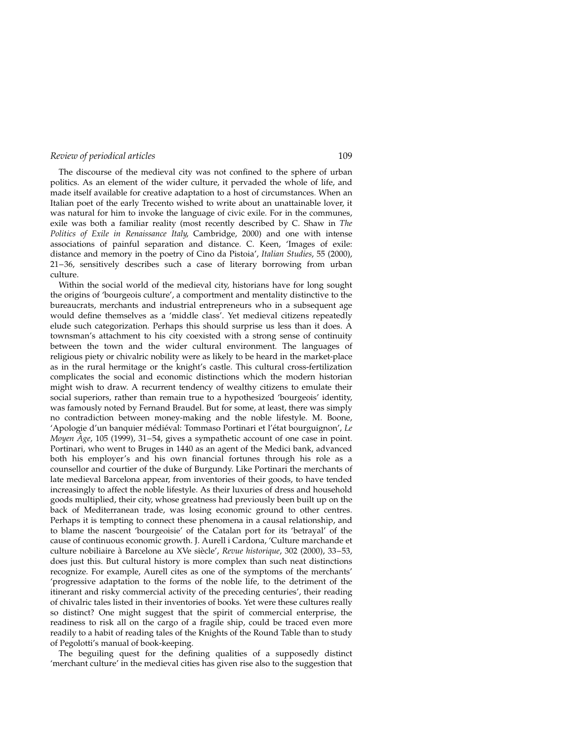The discourse of the medieval city was not confined to the sphere of urban politics. As an element of the wider culture, it pervaded the whole of life, and made itself available for creative adaptation to a host of circumstances. When an Italian poet of the early Trecento wished to write about an unattainable lover, it was natural for him to invoke the language of civic exile. For in the communes, exile was both a familiar reality (most recently described by C. Shaw in The Politics of Exile in Renaissance Italy, Cambridge, 2000) and one with intense associations of painful separation and distance. C. Keen, 'Images of exile: distance and memory in the poetry of Cino da Pistoia', Italian Studies, 55 (2000),  $21-36$ , sensitively describes such a case of literary borrowing from urban culture.

Within the social world of the medieval city, historians have for long sought the origins of 'bourgeois culture', a comportment and mentality distinctive to the bureaucrats, merchants and industrial entrepreneurs who in a subsequent age would define themselves as a 'middle class'. Yet medieval citizens repeatedly elude such categorization. Perhaps this should surprise us less than it does. A townsman's attachment to his city coexisted with a strong sense of continuity between the town and the wider cultural environment. The languages of religious piety or chivalric nobility were as likely to be heard in the market-place as in the rural hermitage or the knight's castle. This cultural cross-fertilization complicates the social and economic distinctions which the modern historian might wish to draw. A recurrent tendency of wealthy citizens to emulate their social superiors, rather than remain true to a hypothesized 'bourgeois' identity, was famously noted by Fernand Braudel. But for some, at least, there was simply no contradiction between money-making and the noble lifestyle. M. Boone, 'Apologie d'un banquier médiéval: Tommaso Portinari et l'état bourguignon', Le *Moyen*  $\hat{A}$ *ge*, 105 (1999), 31–54, gives a sympathetic account of one case in point. Portinari, who went to Bruges in 1440 as an agent of the Medici bank, advanced both his employer's and his own financial fortunes through his role as a counsellor and courtier of the duke of Burgundy. Like Portinari the merchants of late medieval Barcelona appear, from inventories of their goods, to have tended increasingly to affect the noble lifestyle. As their luxuries of dress and household goods multiplied, their city, whose greatness had previously been built up on the back of Mediterranean trade, was losing economic ground to other centres. Perhaps it is tempting to connect these phenomena in a causal relationship, and to blame the nascent `bourgeoisie' of the Catalan port for its `betrayal' of the cause of continuous economic growth. J. Aurell i Cardona, 'Culture marchande et culture nobiliaire à Barcelone au XVe siècle', Revue historique, 302 (2000), 33-53, does just this. But cultural history is more complex than such neat distinctions recognize. For example, Aurell cites as one of the symptoms of the merchants' `progressive adaptation to the forms of the noble life, to the detriment of the itinerant and risky commercial activity of the preceding centuries', their reading of chivalric tales listed in their inventories of books. Yet were these cultures really so distinct? One might suggest that the spirit of commercial enterprise, the readiness to risk all on the cargo of a fragile ship, could be traced even more readily to a habit of reading tales of the Knights of the Round Table than to study of Pegolotti's manual of book-keeping.

The beguiling quest for the defining qualities of a supposedly distinct `merchant culture' in the medieval cities has given rise also to the suggestion that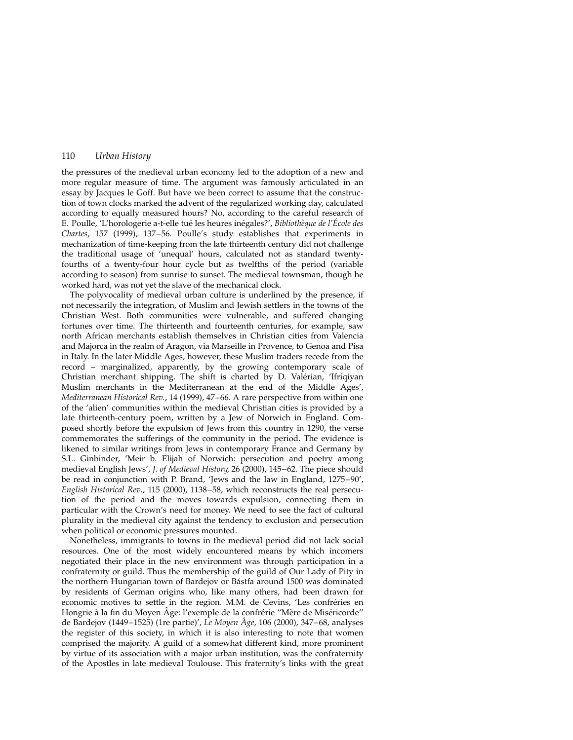the pressures of the medieval urban economy led to the adoption of a new and more regular measure of time. The argument was famously articulated in an essay by Jacques le Goff. But have we been correct to assume that the construction of town clocks marked the advent of the regularized working day, calculated according to equally measured hours? No, according to the careful research of E. Poulle, 'L'horologerie a-t-elle tué les heures inégales?', Bibliothèque de l'École des Chartes, 157 (1999), 137-56. Poulle's study establishes that experiments in mechanization of time-keeping from the late thirteenth century did not challenge the traditional usage of `unequal' hours, calculated not as standard twentyfourths of a twenty-four hour cycle but as twelfths of the period (variable according to season) from sunrise to sunset. The medieval townsman, though he worked hard, was not yet the slave of the mechanical clock.

The polyvocality of medieval urban culture is underlined by the presence, if not necessarily the integration, of Muslim and Jewish settlers in the towns of the Christian West. Both communities were vulnerable, and suffered changing fortunes over time. The thirteenth and fourteenth centuries, for example, saw north African merchants establish themselves in Christian cities from Valencia and Majorca in the realm of Aragon, via Marseille in Provence, to Genoa and Pisa in Italy. In the later Middle Ages, however, these Muslim traders recede from the record – marginalized, apparently, by the growing contemporary scale of Christian merchant shipping. The shift is charted by D. Valérian, 'Ifríqiyan Muslim merchants in the Mediterranean at the end of the Middle Ages', Mediterranean Historical Rev., 14 (1999), 47-66. A rare perspective from within one of the `alien' communities within the medieval Christian cities is provided by a late thirteenth-century poem, written by a Jew of Norwich in England. Composed shortly before the expulsion of Jews from this country in 1290, the verse commemorates the sufferings of the community in the period. The evidence is likened to similar writings from Jews in contemporary France and Germany by S.L. Ginbinder, 'Meir b. Elijah of Norwich: persecution and poetry among medieval English Jews', J. of Medieval History, 26 (2000), 145-62. The piece should be read in conjunction with P. Brand, 'Jews and the law in England, 1275-90', English Historical Rev., 115 (2000), 1138-58, which reconstructs the real persecution of the period and the moves towards expulsion, connecting them in particular with the Crown's need for money. We need to see the fact of cultural plurality in the medieval city against the tendency to exclusion and persecution when political or economic pressures mounted.

Nonetheless, immigrants to towns in the medieval period did not lack social resources. One of the most widely encountered means by which incomers negotiated their place in the new environment was through participation in a confraternity or guild. Thus the membership of the guild of Our Lady of Pity in the northern Hungarian town of Bardejov or Bástfa around 1500 was dominated by residents of German origins who, like many others, had been drawn for economic motives to settle in the region. M.M. de Cevins, 'Les confréries en Hongrie à la fin du Moyen Âge: l'exemple de la confrérie "Mère de Miséricorde" de Bardejov (1449-1525) (1re partie)', Le Moyen  $Age$ , 106 (2000), 347-68, analyses the register of this society, in which it is also interesting to note that women comprised the majority. A guild of a somewhat different kind, more prominent by virtue of its association with a major urban institution, was the confraternity of the Apostles in late medieval Toulouse. This fraternity's links with the great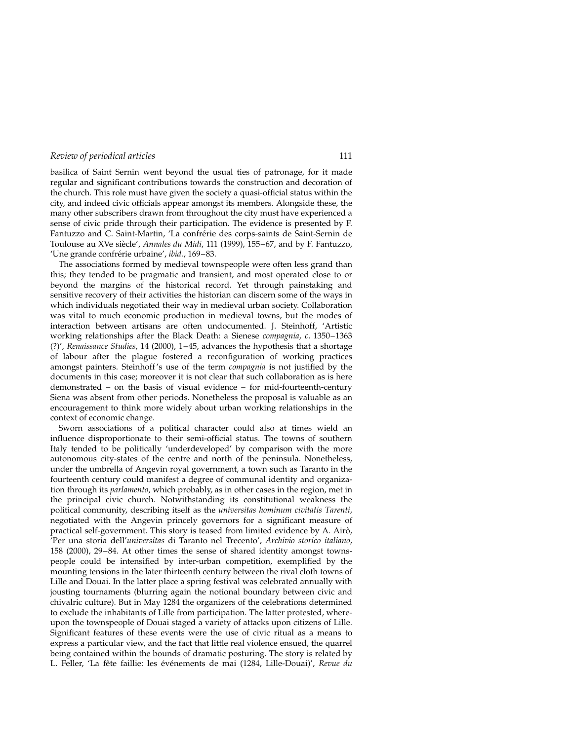basilica of Saint Sernin went beyond the usual ties of patronage, for it made regular and significant contributions towards the construction and decoration of the church. This role must have given the society a quasi-official status within the city, and indeed civic officials appear amongst its members. Alongside these, the many other subscribers drawn from throughout the city must have experienced a sense of civic pride through their participation. The evidence is presented by F. Fantuzzo and C. Saint-Martin, 'La confrérie des corps-saints de Saint-Sernin de Toulouse au XVe siècle', Annales du Midi, 111 (1999), 155-67, and by F. Fantuzzo, 'Une grande confrérie urbaine', ibid., 169-83.

The associations formed by medieval townspeople were often less grand than this; they tended to be pragmatic and transient, and most operated close to or beyond the margins of the historical record. Yet through painstaking and sensitive recovery of their activities the historian can discern some of the ways in which individuals negotiated their way in medieval urban society. Collaboration was vital to much economic production in medieval towns, but the modes of interaction between artisans are often undocumented. J. Steinhoff, `Artistic working relationships after the Black Death: a Sienese *compagnia, c.* 1350-1363 (?)', Renaissance Studies, 14 (2000), 1-45, advances the hypothesis that a shortage of labour after the plague fostered a reconfiguration of working practices amongst painters. Steinhoff's use of the term compagnia is not justified by the documents in this case; moreover it is not clear that such collaboration as is here demonstrated  $-$  on the basis of visual evidence  $-$  for mid-fourteenth-century Siena was absent from other periods. Nonetheless the proposal is valuable as an encouragement to think more widely about urban working relationships in the context of economic change.

Sworn associations of a political character could also at times wield an influence disproportionate to their semi-official status. The towns of southern Italy tended to be politically 'underdeveloped' by comparison with the more autonomous city-states of the centre and north of the peninsula. Nonetheless, under the umbrella of Angevin royal government, a town such as Taranto in the fourteenth century could manifest a degree of communal identity and organization through its parlamento, which probably, as in other cases in the region, met in the principal civic church. Notwithstanding its constitutional weakness the political community, describing itself as the universitas hominum civitatis Tarenti, negotiated with the Angevin princely governors for a significant measure of practical self-government. This story is teased from limited evidence by A. Airò, `Per una storia dell'universitas di Taranto nel Trecento', Archivio storico italiano, 158 (2000), 29-84. At other times the sense of shared identity amongst townspeople could be intensified by inter-urban competition, exemplified by the mounting tensions in the later thirteenth century between the rival cloth towns of Lille and Douai. In the latter place a spring festival was celebrated annually with jousting tournaments (blurring again the notional boundary between civic and chivalric culture). But in May 1284 the organizers of the celebrations determined to exclude the inhabitants of Lille from participation. The latter protested, whereupon the townspeople of Douai staged a variety of attacks upon citizens of Lille. Significant features of these events were the use of civic ritual as a means to express a particular view, and the fact that little real violence ensued, the quarrel being contained within the bounds of dramatic posturing. The story is related by L. Feller, 'La fête faillie: les événements de mai (1284, Lille-Douai)', Revue du

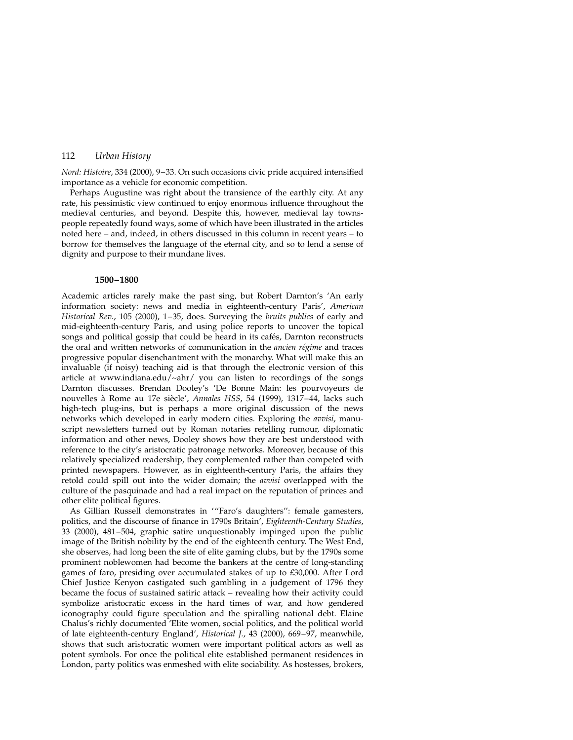Nord: Histoire, 334 (2000), 9-33. On such occasions civic pride acquired intensified importance as a vehicle for economic competition.

Perhaps Augustine was right about the transience of the earthly city. At any rate, his pessimistic view continued to enjoy enormous influence throughout the medieval centuries, and beyond. Despite this, however, medieval lay townspeople repeatedly found ways, some of which have been illustrated in the articles noted here  $-$  and, indeed, in others discussed in this column in recent years  $-$  to borrow for themselves the language of the eternal city, and so to lend a sense of dignity and purpose to their mundane lives.

#### 1500±1800

Academic articles rarely make the past sing, but Robert Darnton's 'An early information society: news and media in eighteenth-century Paris', American Historical Rev., 105 (2000), 1-35, does. Surveying the bruits publics of early and mid-eighteenth-century Paris, and using police reports to uncover the topical songs and political gossip that could be heard in its cafés, Darnton reconstructs the oral and written networks of communication in the *ancien régime* and traces progressive popular disenchantment with the monarchy. What will make this an invaluable (if noisy) teaching aid is that through the electronic version of this article at www.indiana.edu/~ahr/ you can listen to recordings of the songs Darnton discusses. Brendan Dooley's `De Bonne Main: les pourvoyeurs de nouvelles à Rome au 17e siècle', Annales HSS, 54 (1999), 1317-44, lacks such high-tech plug-ins, but is perhaps a more original discussion of the news networks which developed in early modern cities. Exploring the *avvisi*, manuscript newsletters turned out by Roman notaries retelling rumour, diplomatic information and other news, Dooley shows how they are best understood with reference to the city's aristocratic patronage networks. Moreover, because of this relatively specialized readership, they complemented rather than competed with printed newspapers. However, as in eighteenth-century Paris, the affairs they retold could spill out into the wider domain; the *avvisi* overlapped with the culture of the pasquinade and had a real impact on the reputation of princes and other elite political figures.

As Gillian Russell demonstrates in "'Faro's daughters": female gamesters, politics, and the discourse of finance in 1790s Britain', Eighteenth-Century Studies, 33 (2000), 481-504, graphic satire unquestionably impinged upon the public image of the British nobility by the end of the eighteenth century. The West End, she observes, had long been the site of elite gaming clubs, but by the 1790s some prominent noblewomen had become the bankers at the centre of long-standing games of faro, presiding over accumulated stakes of up to £30,000. After Lord Chief Justice Kenyon castigated such gambling in a judgement of 1796 they became the focus of sustained satiric attack - revealing how their activity could symbolize aristocratic excess in the hard times of war, and how gendered iconography could figure speculation and the spiralling national debt. Elaine Chalus's richly documented `Elite women, social politics, and the political world of late eighteenth-century England', Historical J., 43 (2000), 669-97, meanwhile, shows that such aristocratic women were important political actors as well as potent symbols. For once the political elite established permanent residences in London, party politics was enmeshed with elite sociability. As hostesses, brokers,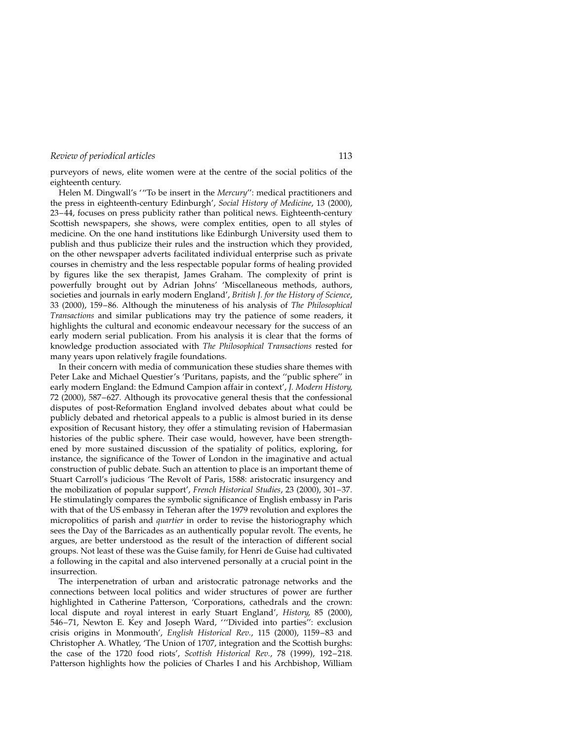purveyors of news, elite women were at the centre of the social politics of the eighteenth century.

Helen M. Dingwall's "To be insert in the Mercury": medical practitioners and the press in eighteenth-century Edinburgh', Social History of Medicine, 13 (2000), 23-44, focuses on press publicity rather than political news. Eighteenth-century Scottish newspapers, she shows, were complex entities, open to all styles of medicine. On the one hand institutions like Edinburgh University used them to publish and thus publicize their rules and the instruction which they provided, on the other newspaper adverts facilitated individual enterprise such as private courses in chemistry and the less respectable popular forms of healing provided by figures like the sex therapist, James Graham. The complexity of print is powerfully brought out by Adrian Johns' 'Miscellaneous methods, authors, societies and journals in early modern England', British J. for the History of Science, 33 (2000), 159-86. Although the minuteness of his analysis of The Philosophical Transactions and similar publications may try the patience of some readers, it highlights the cultural and economic endeavour necessary for the success of an early modern serial publication. From his analysis it is clear that the forms of knowledge production associated with The Philosophical Transactions rested for many years upon relatively fragile foundations.

In their concern with media of communication these studies share themes with Peter Lake and Michael Questier's 'Puritans, papists, and the "public sphere" in early modern England: the Edmund Campion affair in context', J. Modern History, 72 (2000), 587-627. Although its provocative general thesis that the confessional disputes of post-Reformation England involved debates about what could be publicly debated and rhetorical appeals to a public is almost buried in its dense exposition of Recusant history, they offer a stimulating revision of Habermasian histories of the public sphere. Their case would, however, have been strengthened by more sustained discussion of the spatiality of politics, exploring, for instance, the significance of the Tower of London in the imaginative and actual construction of public debate. Such an attention to place is an important theme of Stuart Carroll's judicious `The Revolt of Paris, 1588: aristocratic insurgency and the mobilization of popular support', French Historical Studies, 23 (2000), 301-37. He stimulatingly compares the symbolic significance of English embassy in Paris with that of the US embassy in Teheran after the 1979 revolution and explores the micropolitics of parish and quartier in order to revise the historiography which sees the Day of the Barricades as an authentically popular revolt. The events, he argues, are better understood as the result of the interaction of different social groups. Not least of these was the Guise family, for Henri de Guise had cultivated a following in the capital and also intervened personally at a crucial point in the insurrection.

The interpenetration of urban and aristocratic patronage networks and the connections between local politics and wider structures of power are further highlighted in Catherine Patterson, 'Corporations, cathedrals and the crown: local dispute and royal interest in early Stuart England', History, 85 (2000), 546-71, Newton E. Key and Joseph Ward, "Divided into parties": exclusion crisis origins in Monmouth', English Historical Rev., 115 (2000), 1159-83 and Christopher A. Whatley, 'The Union of 1707, integration and the Scottish burghs: the case of the 1720 food riots', Scottish Historical Rev., 78 (1999), 192-218. Patterson highlights how the policies of Charles I and his Archbishop, William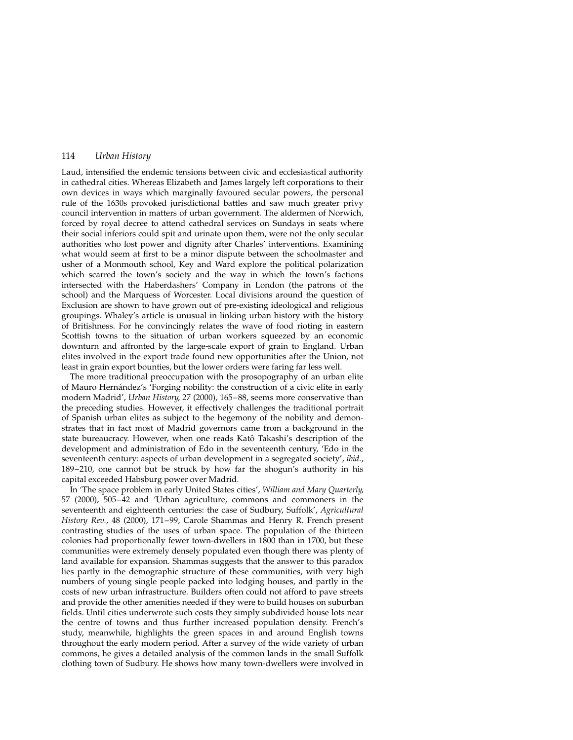Laud, intensified the endemic tensions between civic and ecclesiastical authority in cathedral cities. Whereas Elizabeth and James largely left corporations to their own devices in ways which marginally favoured secular powers, the personal rule of the 1630s provoked jurisdictional battles and saw much greater privy council intervention in matters of urban government. The aldermen of Norwich, forced by royal decree to attend cathedral services on Sundays in seats where their social inferiors could spit and urinate upon them, were not the only secular authorities who lost power and dignity after Charles' interventions. Examining what would seem at first to be a minor dispute between the schoolmaster and usher of a Monmouth school, Key and Ward explore the political polarization which scarred the town's society and the way in which the town's factions intersected with the Haberdashers' Company in London (the patrons of the school) and the Marquess of Worcester. Local divisions around the question of Exclusion are shown to have grown out of pre-existing ideological and religious groupings. Whaley's article is unusual in linking urban history with the history of Britishness. For he convincingly relates the wave of food rioting in eastern Scottish towns to the situation of urban workers squeezed by an economic downturn and affronted by the large-scale export of grain to England. Urban elites involved in the export trade found new opportunities after the Union, not least in grain export bounties, but the lower orders were faring far less well.

The more traditional preoccupation with the prosopography of an urban elite of Mauro Hernández's 'Forging nobility: the construction of a civic elite in early modern Madrid', Urban History, 27 (2000), 165-88, seems more conservative than the preceding studies. However, it effectively challenges the traditional portrait of Spanish urban elites as subject to the hegemony of the nobility and demonstrates that in fact most of Madrid governors came from a background in the state bureaucracy. However, when one reads Katô Takashi's description of the development and administration of Edo in the seventeenth century, 'Edo in the seventeenth century: aspects of urban development in a segregated society', *ibid.*, 189-210, one cannot but be struck by how far the shogun's authority in his capital exceeded Habsburg power over Madrid.

In 'The space problem in early United States cities', William and Mary Quarterly, 57 (2000), 505–42 and 'Urban agriculture, commons and commoners in the seventeenth and eighteenth centuries: the case of Sudbury, Suffolk', Agricultural History Rev., 48 (2000), 171-99, Carole Shammas and Henry R. French present contrasting studies of the uses of urban space. The population of the thirteen colonies had proportionally fewer town-dwellers in 1800 than in 1700, but these communities were extremely densely populated even though there was plenty of land available for expansion. Shammas suggests that the answer to this paradox lies partly in the demographic structure of these communities, with very high numbers of young single people packed into lodging houses, and partly in the costs of new urban infrastructure. Builders often could not afford to pave streets and provide the other amenities needed if they were to build houses on suburban fields. Until cities underwrote such costs they simply subdivided house lots near the centre of towns and thus further increased population density. French's study, meanwhile, highlights the green spaces in and around English towns throughout the early modern period. After a survey of the wide variety of urban commons, he gives a detailed analysis of the common lands in the small Suffolk clothing town of Sudbury. He shows how many town-dwellers were involved in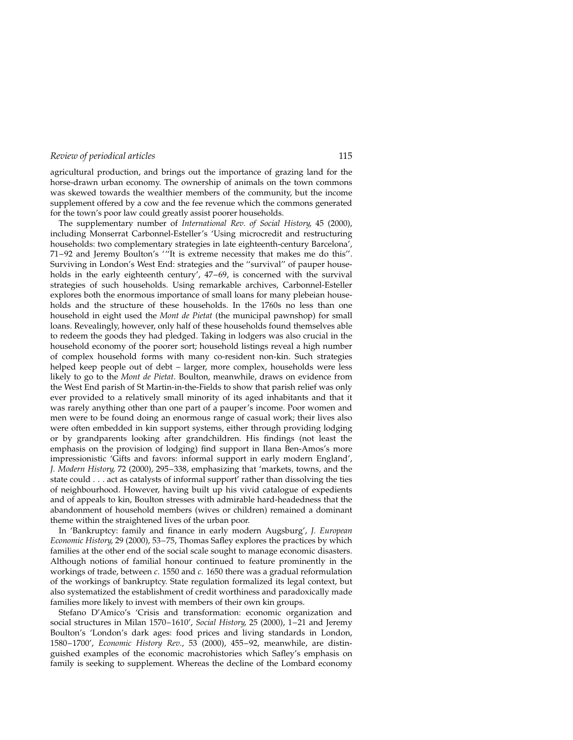agricultural production, and brings out the importance of grazing land for the horse-drawn urban economy. The ownership of animals on the town commons was skewed towards the wealthier members of the community, but the income supplement offered by a cow and the fee revenue which the commons generated for the town's poor law could greatly assist poorer households.

The supplementary number of International Rev. of Social History, 45 (2000), including Monserrat Carbonnel-Esteller's `Using microcredit and restructuring households: two complementary strategies in late eighteenth-century Barcelona', 71–92 and Jeremy Boulton's "'It is extreme necessity that makes me do this". Surviving in London's West End: strategies and the "survival" of pauper households in the early eighteenth century',  $47-69$ , is concerned with the survival strategies of such households. Using remarkable archives, Carbonnel-Esteller explores both the enormous importance of small loans for many plebeian households and the structure of these households. In the 1760s no less than one household in eight used the *Mont de Pietat* (the municipal pawnshop) for small loans. Revealingly, however, only half of these households found themselves able to redeem the goods they had pledged. Taking in lodgers was also crucial in the household economy of the poorer sort; household listings reveal a high number of complex household forms with many co-resident non-kin. Such strategies helped keep people out of debt - larger, more complex, households were less likely to go to the Mont de Pietat. Boulton, meanwhile, draws on evidence from the West End parish of St Martin-in-the-Fields to show that parish relief was only ever provided to a relatively small minority of its aged inhabitants and that it was rarely anything other than one part of a pauper's income. Poor women and men were to be found doing an enormous range of casual work; their lives also were often embedded in kin support systems, either through providing lodging or by grandparents looking after grandchildren. His findings (not least the emphasis on the provision of lodging) find support in Ilana Ben-Amos's more impressionistic `Gifts and favors: informal support in early modern England', J. Modern History, 72 (2000), 295-338, emphasizing that 'markets, towns, and the state could . . . act as catalysts of informal support' rather than dissolving the ties of neighbourhood. However, having built up his vivid catalogue of expedients and of appeals to kin, Boulton stresses with admirable hard-headedness that the abandonment of household members (wives or children) remained a dominant theme within the straightened lives of the urban poor.

In 'Bankruptcy: family and finance in early modern Augsburg', J. European Economic History, 29 (2000), 53-75, Thomas Safley explores the practices by which families at the other end of the social scale sought to manage economic disasters. Although notions of familial honour continued to feature prominently in the workings of trade, between  $c$ . 1550 and  $c$ . 1650 there was a gradual reformulation of the workings of bankruptcy. State regulation formalized its legal context, but also systematized the establishment of credit worthiness and paradoxically made families more likely to invest with members of their own kin groups.

Stefano D'Amico's 'Crisis and transformation: economic organization and social structures in Milan 1570-1610', Social History, 25 (2000), 1-21 and Jeremy Boulton's 'London's dark ages: food prices and living standards in London, 1580-1700', Economic History Rev., 53 (2000), 455-92, meanwhile, are distinguished examples of the economic macrohistories which Safley's emphasis on family is seeking to supplement. Whereas the decline of the Lombard economy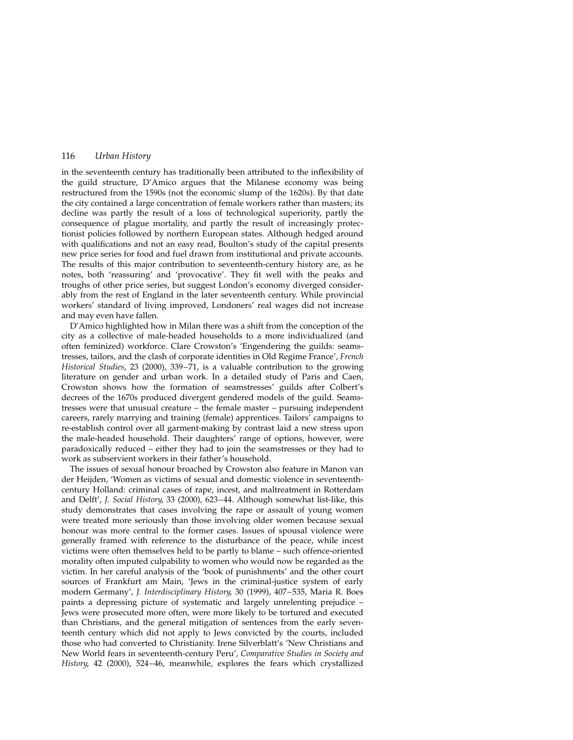in the seventeenth century has traditionally been attributed to the inflexibility of the guild structure, D'Amico argues that the Milanese economy was being restructured from the 1590s (not the economic slump of the 1620s). By that date the city contained a large concentration of female workers rather than masters; its decline was partly the result of a loss of technological superiority, partly the consequence of plague mortality, and partly the result of increasingly protectionist policies followed by northern European states. Although hedged around with qualifications and not an easy read, Boulton's study of the capital presents new price series for food and fuel drawn from institutional and private accounts. The results of this major contribution to seventeenth-century history are, as he notes, both 'reassuring' and 'provocative'. They fit well with the peaks and troughs of other price series, but suggest London's economy diverged considerably from the rest of England in the later seventeenth century. While provincial workers' standard of living improved, Londoners' real wages did not increase and may even have fallen.

D'Amico highlighted how in Milan there was a shift from the conception of the city as a collective of male-headed households to a more individualized (and often feminized) workforce. Clare Crowston's `Engendering the guilds: seamstresses, tailors, and the clash of corporate identities in Old Regime France', French Historical Studies, 23 (2000), 339 $-71$ , is a valuable contribution to the growing literature on gender and urban work. In a detailed study of Paris and Caen, Crowston shows how the formation of seamstresses' guilds after Colbert's decrees of the 1670s produced divergent gendered models of the guild. Seamstresses were that unusual creature  $-$  the female master  $-$  pursuing independent careers, rarely marrying and training (female) apprentices. Tailors' campaigns to re-establish control over all garment-making by contrast laid a new stress upon the male-headed household. Their daughters' range of options, however, were paradoxically reduced ± either they had to join the seamstresses or they had to work as subservient workers in their father's household.

The issues of sexual honour broached by Crowston also feature in Manon van der Heijden, `Women as victims of sexual and domestic violence in seventeenthcentury Holland: criminal cases of rape, incest, and maltreatment in Rotterdam and Delft', J. Social History, 33 (2000), 623-44. Although somewhat list-like, this study demonstrates that cases involving the rape or assault of young women were treated more seriously than those involving older women because sexual honour was more central to the former cases. Issues of spousal violence were generally framed with reference to the disturbance of the peace, while incest victims were often themselves held to be partly to blame - such offence-oriented morality often imputed culpability to women who would now be regarded as the victim. In her careful analysis of the `book of punishments' and the other court sources of Frankfurt am Main, 'Jews in the criminal-justice system of early modern Germany', J. Interdisciplinary History, 30 (1999), 407-535, Maria R. Boes paints a depressing picture of systematic and largely unrelenting prejudice  $-$ Jews were prosecuted more often, were more likely to be tortured and executed than Christians, and the general mitigation of sentences from the early seventeenth century which did not apply to Jews convicted by the courts, included those who had converted to Christianity. Irene Silverblatt's `New Christians and New World fears in seventeenth-century Peru', Comparative Studies in Society and History, 42 (2000), 524-46, meanwhile, explores the fears which crystallized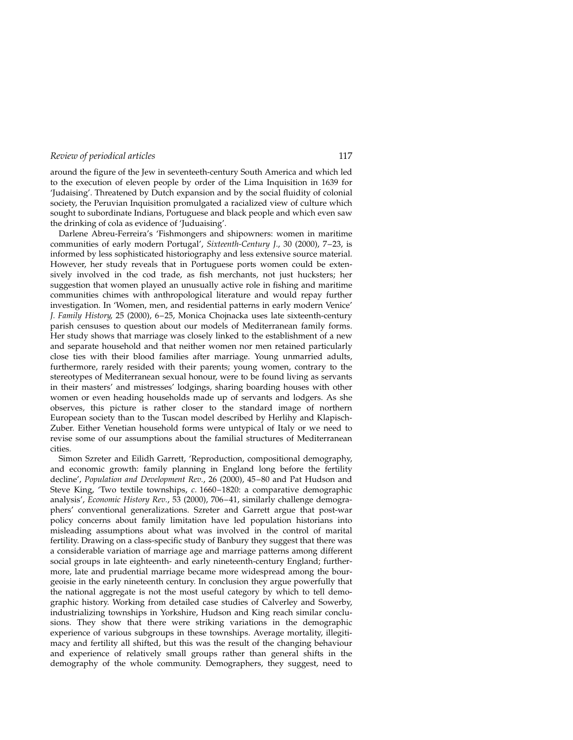around the figure of the Jew in seventeeth-century South America and which led to the execution of eleven people by order of the Lima Inquisition in 1639 for 'Judaising'. Threatened by Dutch expansion and by the social fluidity of colonial society, the Peruvian Inquisition promulgated a racialized view of culture which sought to subordinate Indians, Portuguese and black people and which even saw the drinking of cola as evidence of 'Juduaising'.

Darlene Abreu-Ferreira's 'Fishmongers and shipowners: women in maritime communities of early modern Portugal', Sixteenth-Century J., 30 (2000),  $7-23$ , is informed by less sophisticated historiography and less extensive source material. However, her study reveals that in Portuguese ports women could be extensively involved in the cod trade, as fish merchants, not just hucksters; her suggestion that women played an unusually active role in fishing and maritime communities chimes with anthropological literature and would repay further investigation. In `Women, men, and residential patterns in early modern Venice' J. Family History, 25 (2000), 6-25, Monica Chojnacka uses late sixteenth-century parish censuses to question about our models of Mediterranean family forms. Her study shows that marriage was closely linked to the establishment of a new and separate household and that neither women nor men retained particularly close ties with their blood families after marriage. Young unmarried adults, furthermore, rarely resided with their parents; young women, contrary to the stereotypes of Mediterranean sexual honour, were to be found living as servants in their masters' and mistresses' lodgings, sharing boarding houses with other women or even heading households made up of servants and lodgers. As she observes, this picture is rather closer to the standard image of northern European society than to the Tuscan model described by Herlihy and Klapisch-Zuber. Either Venetian household forms were untypical of Italy or we need to revise some of our assumptions about the familial structures of Mediterranean cities.

Simon Szreter and Eilidh Garrett, 'Reproduction, compositional demography, and economic growth: family planning in England long before the fertility decline', Population and Development Rev., 26 (2000), 45-80 and Pat Hudson and Steve King, 'Two textile townships, c. 1660-1820: a comparative demographic analysis', Economic History Rev., 53 (2000), 706-41, similarly challenge demographers' conventional generalizations. Szreter and Garrett argue that post-war policy concerns about family limitation have led population historians into misleading assumptions about what was involved in the control of marital fertility. Drawing on a class-specific study of Banbury they suggest that there was a considerable variation of marriage age and marriage patterns among different social groups in late eighteenth- and early nineteenth-century England; furthermore, late and prudential marriage became more widespread among the bourgeoisie in the early nineteenth century. In conclusion they argue powerfully that the national aggregate is not the most useful category by which to tell demographic history. Working from detailed case studies of Calverley and Sowerby, industrializing townships in Yorkshire, Hudson and King reach similar conclusions. They show that there were striking variations in the demographic experience of various subgroups in these townships. Average mortality, illegitimacy and fertility all shifted, but this was the result of the changing behaviour and experience of relatively small groups rather than general shifts in the demography of the whole community. Demographers, they suggest, need to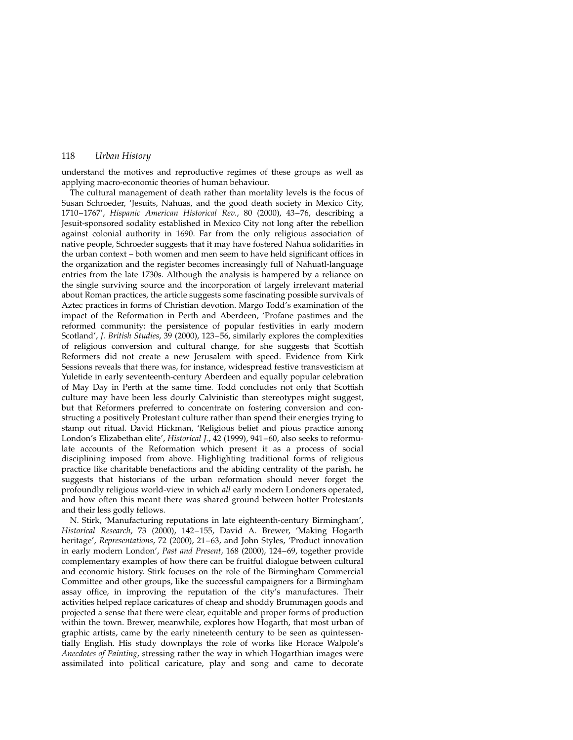understand the motives and reproductive regimes of these groups as well as applying macro-economic theories of human behaviour.

The cultural management of death rather than mortality levels is the focus of Susan Schroeder, 'Jesuits, Nahuas, and the good death society in Mexico City, 1710-1767', Hispanic American Historical Rev., 80 (2000), 43-76, describing a Jesuit-sponsored sodality established in Mexico City not long after the rebellion against colonial authority in 1690. Far from the only religious association of native people, Schroeder suggests that it may have fostered Nahua solidarities in the urban context - both women and men seem to have held significant offices in the organization and the register becomes increasingly full of Nahuatl-language entries from the late 1730s. Although the analysis is hampered by a reliance on the single surviving source and the incorporation of largely irrelevant material about Roman practices, the article suggests some fascinating possible survivals of Aztec practices in forms of Christian devotion. Margo Todd's examination of the impact of the Reformation in Perth and Aberdeen, 'Profane pastimes and the reformed community: the persistence of popular festivities in early modern Scotland', J. British Studies, 39 (2000), 123-56, similarly explores the complexities of religious conversion and cultural change, for she suggests that Scottish Reformers did not create a new Jerusalem with speed. Evidence from Kirk Sessions reveals that there was, for instance, widespread festive transvesticism at Yuletide in early seventeenth-century Aberdeen and equally popular celebration of May Day in Perth at the same time. Todd concludes not only that Scottish culture may have been less dourly Calvinistic than stereotypes might suggest, but that Reformers preferred to concentrate on fostering conversion and constructing a positively Protestant culture rather than spend their energies trying to stamp out ritual. David Hickman, 'Religious belief and pious practice among London's Elizabethan elite', Historical J., 42 (1999), 941-60, also seeks to reformulate accounts of the Reformation which present it as a process of social disciplining imposed from above. Highlighting traditional forms of religious practice like charitable benefactions and the abiding centrality of the parish, he suggests that historians of the urban reformation should never forget the profoundly religious world-view in which all early modern Londoners operated, and how often this meant there was shared ground between hotter Protestants and their less godly fellows.

N. Stirk, `Manufacturing reputations in late eighteenth-century Birmingham', Historical Research, 73 (2000), 142-155, David A. Brewer, 'Making Hogarth heritage', Representations, 72 (2000), 21-63, and John Styles, 'Product innovation in early modern London', Past and Present, 168 (2000), 124-69, together provide complementary examples of how there can be fruitful dialogue between cultural and economic history. Stirk focuses on the role of the Birmingham Commercial Committee and other groups, like the successful campaigners for a Birmingham assay office, in improving the reputation of the city's manufactures. Their activities helped replace caricatures of cheap and shoddy Brummagen goods and projected a sense that there were clear, equitable and proper forms of production within the town. Brewer, meanwhile, explores how Hogarth, that most urban of graphic artists, came by the early nineteenth century to be seen as quintessentially English. His study downplays the role of works like Horace Walpole's Anecdotes of Painting, stressing rather the way in which Hogarthian images were assimilated into political caricature, play and song and came to decorate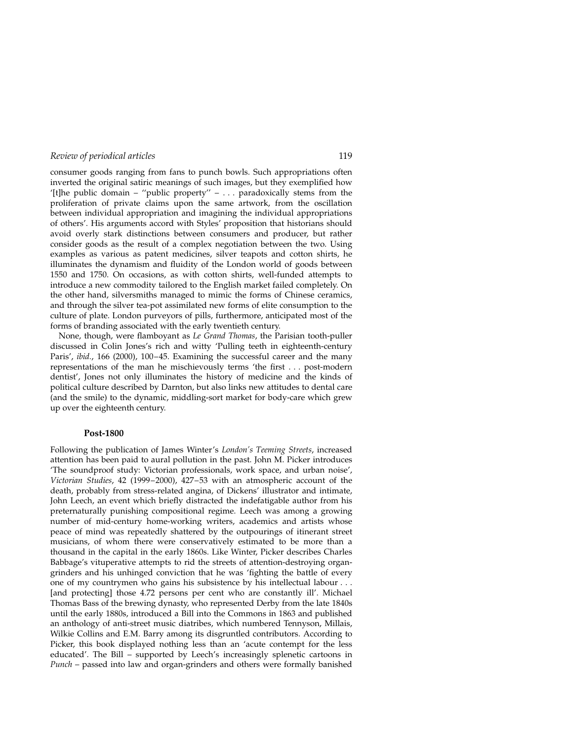consumer goods ranging from fans to punch bowls. Such appropriations often inverted the original satiric meanings of such images, but they exemplified how '[t]he public domain - "public property" - . . . paradoxically stems from the proliferation of private claims upon the same artwork, from the oscillation between individual appropriation and imagining the individual appropriations of others'. His arguments accord with Styles' proposition that historians should avoid overly stark distinctions between consumers and producer, but rather consider goods as the result of a complex negotiation between the two. Using examples as various as patent medicines, silver teapots and cotton shirts, he illuminates the dynamism and fluidity of the London world of goods between 1550 and 1750. On occasions, as with cotton shirts, well-funded attempts to introduce a new commodity tailored to the English market failed completely. On the other hand, silversmiths managed to mimic the forms of Chinese ceramics, and through the silver tea-pot assimilated new forms of elite consumption to the culture of plate. London purveyors of pills, furthermore, anticipated most of the forms of branding associated with the early twentieth century.

None, though, were flamboyant as Le Grand Thomas, the Parisian tooth-puller discussed in Colin Jones's rich and witty `Pulling teeth in eighteenth-century Paris', ibid., 166 (2000), 100-45. Examining the successful career and the many representations of the man he mischievously terms 'the first  $\dots$  post-modern dentist', Jones not only illuminates the history of medicine and the kinds of political culture described by Darnton, but also links new attitudes to dental care (and the smile) to the dynamic, middling-sort market for body-care which grew up over the eighteenth century.

#### Post-1800

Following the publication of James Winter's London's Teeming Streets, increased attention has been paid to aural pollution in the past. John M. Picker introduces `The soundproof study: Victorian professionals, work space, and urban noise', Victorian Studies, 42 (1999-2000),  $427-53$  with an atmospheric account of the death, probably from stress-related angina, of Dickens' illustrator and intimate, John Leech, an event which briefly distracted the indefatigable author from his preternaturally punishing compositional regime. Leech was among a growing number of mid-century home-working writers, academics and artists whose peace of mind was repeatedly shattered by the outpourings of itinerant street musicians, of whom there were conservatively estimated to be more than a thousand in the capital in the early 1860s. Like Winter, Picker describes Charles Babbage's vituperative attempts to rid the streets of attention-destroying organgrinders and his unhinged conviction that he was 'fighting the battle of every one of my countrymen who gains his subsistence by his intellectual labour . . . [and protecting] those 4.72 persons per cent who are constantly ill'. Michael Thomas Bass of the brewing dynasty, who represented Derby from the late 1840s until the early 1880s, introduced a Bill into the Commons in 1863 and published an anthology of anti-street music diatribes, which numbered Tennyson, Millais, Wilkie Collins and E.M. Barry among its disgruntled contributors. According to Picker, this book displayed nothing less than an 'acute contempt for the less educated'. The Bill – supported by Leech's increasingly splenetic cartoons in  $Punch$  – passed into law and organ-grinders and others were formally banished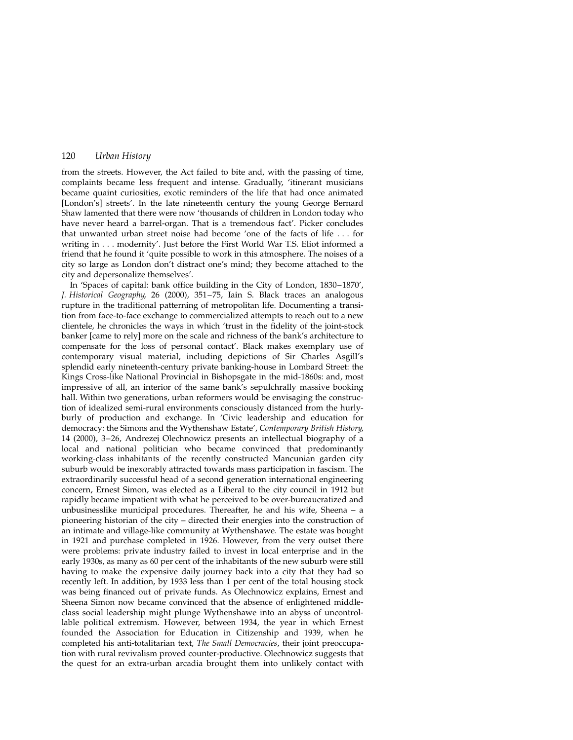from the streets. However, the Act failed to bite and, with the passing of time, complaints became less frequent and intense. Gradually, 'itinerant musicians became quaint curiosities, exotic reminders of the life that had once animated [London's] streets'. In the late nineteenth century the young George Bernard Shaw lamented that there were now 'thousands of children in London today who have never heard a barrel-organ. That is a tremendous fact'. Picker concludes that unwanted urban street noise had become 'one of the facts of life  $\dots$  for writing in . . . modernity'. Just before the First World War T.S. Eliot informed a friend that he found it 'quite possible to work in this atmosphere. The noises of a city so large as London don't distract one's mind; they become attached to the city and depersonalize themselves'.

In 'Spaces of capital: bank office building in the City of London, 1830-1870', J. Historical Geography, 26 (2000), 351-75, Iain S. Black traces an analogous rupture in the traditional patterning of metropolitan life. Documenting a transition from face-to-face exchange to commercialized attempts to reach out to a new clientele, he chronicles the ways in which 'trust in the fidelity of the joint-stock banker [came to rely] more on the scale and richness of the bank's architecture to compensate for the loss of personal contact'. Black makes exemplary use of contemporary visual material, including depictions of Sir Charles Asgill's splendid early nineteenth-century private banking-house in Lombard Street: the Kings Cross-like National Provincial in Bishopsgate in the mid-1860s: and, most impressive of all, an interior of the same bank's sepulchrally massive booking hall. Within two generations, urban reformers would be envisaging the construction of idealized semi-rural environments consciously distanced from the hurlyburly of production and exchange. In 'Civic leadership and education for democracy: the Simons and the Wythenshaw Estate', Contemporary British History, 14 (2000), 3–26, Andrezej Olechnowicz presents an intellectual biography of a local and national politician who became convinced that predominantly working-class inhabitants of the recently constructed Mancunian garden city suburb would be inexorably attracted towards mass participation in fascism. The extraordinarily successful head of a second generation international engineering concern, Ernest Simon, was elected as a Liberal to the city council in 1912 but rapidly became impatient with what he perceived to be over-bureaucratized and unbusinesslike municipal procedures. Thereafter, he and his wife, Sheena  $-$  a pioneering historian of the city - directed their energies into the construction of an intimate and village-like community at Wythenshawe. The estate was bought in 1921 and purchase completed in 1926. However, from the very outset there were problems: private industry failed to invest in local enterprise and in the early 1930s, as many as 60 per cent of the inhabitants of the new suburb were still having to make the expensive daily journey back into a city that they had so recently left. In addition, by 1933 less than 1 per cent of the total housing stock was being financed out of private funds. As Olechnowicz explains, Ernest and Sheena Simon now became convinced that the absence of enlightened middleclass social leadership might plunge Wythenshawe into an abyss of uncontrollable political extremism. However, between 1934, the year in which Ernest founded the Association for Education in Citizenship and 1939, when he completed his anti-totalitarian text, The Small Democracies, their joint preoccupation with rural revivalism proved counter-productive. Olechnowicz suggests that the quest for an extra-urban arcadia brought them into unlikely contact with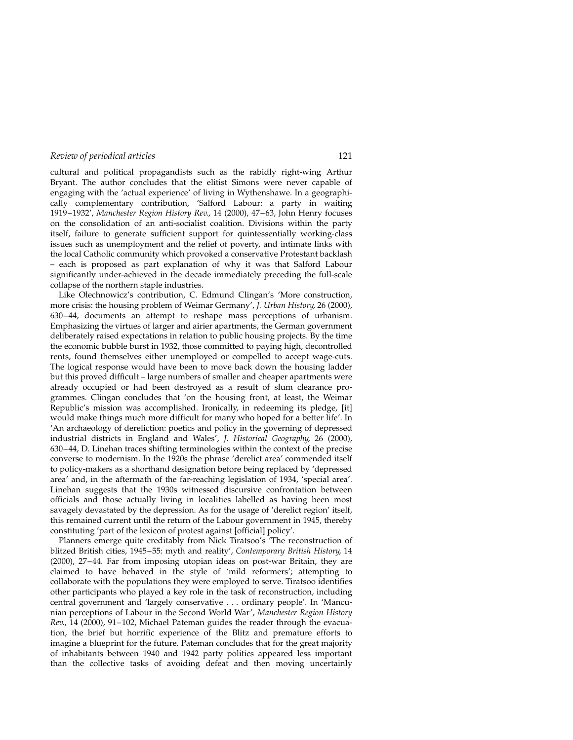cultural and political propagandists such as the rabidly right-wing Arthur Bryant. The author concludes that the elitist Simons were never capable of engaging with the 'actual experience' of living in Wythenshawe. In a geographically complementary contribution, 'Salford Labour: a party in waiting 1919-1932', Manchester Region History Rev., 14 (2000), 47-63, John Henry focuses on the consolidation of an anti-socialist coalition. Divisions within the party itself, failure to generate sufficient support for quintessentially working-class issues such as unemployment and the relief of poverty, and intimate links with the local Catholic community which provoked a conservative Protestant backlash ± each is proposed as part explanation of why it was that Salford Labour significantly under-achieved in the decade immediately preceding the full-scale collapse of the northern staple industries.

Like Olechnowicz's contribution, C. Edmund Clingan's `More construction, more crisis: the housing problem of Weimar Germany', J. Urban History, 26 (2000), 630-44, documents an attempt to reshape mass perceptions of urbanism. Emphasizing the virtues of larger and airier apartments, the German government deliberately raised expectations in relation to public housing projects. By the time the economic bubble burst in 1932, those committed to paying high, decontrolled rents, found themselves either unemployed or compelled to accept wage-cuts. The logical response would have been to move back down the housing ladder but this proved difficult – large numbers of smaller and cheaper apartments were already occupied or had been destroyed as a result of slum clearance programmes. Clingan concludes that `on the housing front, at least, the Weimar Republic's mission was accomplished. Ironically, in redeeming its pledge, [it] would make things much more difficult for many who hoped for a better life'. In `An archaeology of dereliction: poetics and policy in the governing of depressed industrial districts in England and Wales', J. Historical Geography, 26 (2000),  $630-44$ , D. Linehan traces shifting terminologies within the context of the precise converse to modernism. In the 1920s the phrase 'derelict area' commended itself to policy-makers as a shorthand designation before being replaced by `depressed area' and, in the aftermath of the far-reaching legislation of 1934, 'special area'. Linehan suggests that the 1930s witnessed discursive confrontation between officials and those actually living in localities labelled as having been most savagely devastated by the depression. As for the usage of 'derelict region' itself, this remained current until the return of the Labour government in 1945, thereby constituting 'part of the lexicon of protest against [official] policy'.

Planners emerge quite creditably from Nick Tiratsoo's 'The reconstruction of blitzed British cities, 1945-55: myth and reality', Contemporary British History, 14 (2000), 27-44. Far from imposing utopian ideas on post-war Britain, they are claimed to have behaved in the style of 'mild reformers'; attempting to collaborate with the populations they were employed to serve. Tiratsoo identifies other participants who played a key role in the task of reconstruction, including central government and 'largely conservative . . . ordinary people'. In 'Mancunian perceptions of Labour in the Second World War', Manchester Region History  $Rev$ , 14 (2000), 91-102, Michael Pateman guides the reader through the evacuation, the brief but horrific experience of the Blitz and premature efforts to imagine a blueprint for the future. Pateman concludes that for the great majority of inhabitants between 1940 and 1942 party politics appeared less important than the collective tasks of avoiding defeat and then moving uncertainly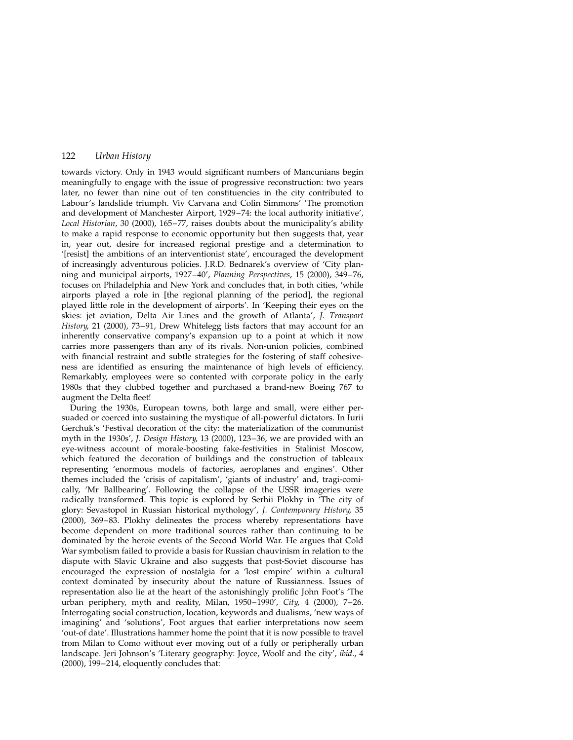towards victory. Only in 1943 would significant numbers of Mancunians begin meaningfully to engage with the issue of progressive reconstruction: two years later, no fewer than nine out of ten constituencies in the city contributed to Labour's landslide triumph. Viv Carvana and Colin Simmons' 'The promotion and development of Manchester Airport, 1929-74: the local authority initiative', Local Historian, 30 (2000), 165-77, raises doubts about the municipality's ability to make a rapid response to economic opportunity but then suggests that, year in, year out, desire for increased regional prestige and a determination to `[resist] the ambitions of an interventionist state', encouraged the development of increasingly adventurous policies. J.R.D. Bednarek's overview of `City planning and municipal airports, 1927-40', Planning Perspectives, 15 (2000), 349-76, focuses on Philadelphia and New York and concludes that, in both cities, 'while airports played a role in [the regional planning of the period], the regional played little role in the development of airports'. In `Keeping their eyes on the skies: jet aviation, Delta Air Lines and the growth of Atlanta', J. Transport History, 21 (2000), 73-91, Drew Whitelegg lists factors that may account for an inherently conservative company's expansion up to a point at which it now carries more passengers than any of its rivals. Non-union policies, combined with financial restraint and subtle strategies for the fostering of staff cohesiveness are identified as ensuring the maintenance of high levels of efficiency. Remarkably, employees were so contented with corporate policy in the early 1980s that they clubbed together and purchased a brand-new Boeing 767 to augment the Delta fleet!

During the 1930s, European towns, both large and small, were either persuaded or coerced into sustaining the mystique of all-powerful dictators. In Iurii Gerchuk's 'Festival decoration of the city: the materialization of the communist myth in the 1930s', J. Design History, 13 (2000), 123–36, we are provided with an eye-witness account of morale-boosting fake-festivities in Stalinist Moscow, which featured the decoration of buildings and the construction of tableaux representing 'enormous models of factories, aeroplanes and engines'. Other themes included the 'crisis of capitalism', 'giants of industry' and, tragi-comically, `Mr Ballbearing'. Following the collapse of the USSR imageries were radically transformed. This topic is explored by Serhii Plokhy in `The city of glory: Sevastopol in Russian historical mythology', J. Contemporary History, 35 (2000), 369-83. Plokhy delineates the process whereby representations have become dependent on more traditional sources rather than continuing to be dominated by the heroic events of the Second World War. He argues that Cold War symbolism failed to provide a basis for Russian chauvinism in relation to the dispute with Slavic Ukraine and also suggests that post-Soviet discourse has encouraged the expression of nostalgia for a `lost empire' within a cultural context dominated by insecurity about the nature of Russianness. Issues of representation also lie at the heart of the astonishingly prolific John Foot's 'The urban periphery, myth and reality, Milan,  $1950-1990'$ , City, 4 (2000), 7-26. Interrogating social construction, location, keywords and dualisms, `new ways of imagining' and 'solutions', Foot argues that earlier interpretations now seem `out-of date'. Illustrations hammer home the point that it is now possible to travel from Milan to Como without ever moving out of a fully or peripherally urban landscape. Jeri Johnson's 'Literary geography: Joyce, Woolf and the city', ibid., 4  $(2000)$ , 199 $-214$ , eloquently concludes that: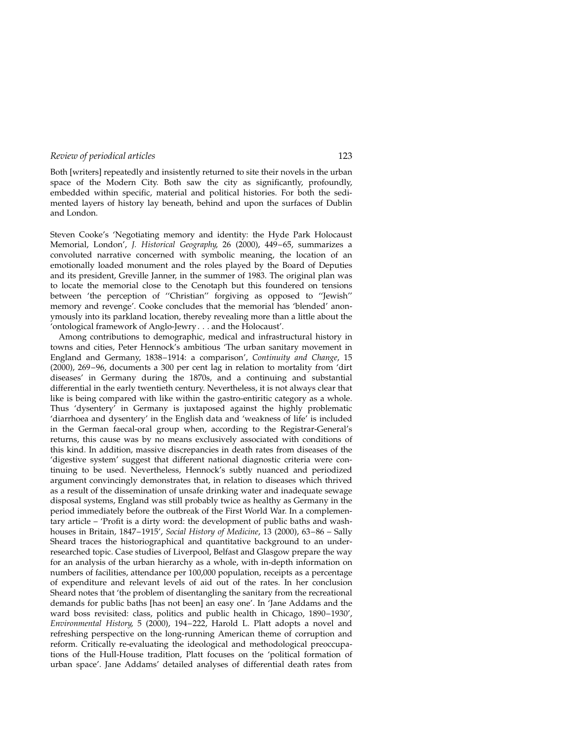Both [writers] repeatedly and insistently returned to site their novels in the urban space of the Modern City. Both saw the city as significantly, profoundly, embedded within specific, material and political histories. For both the sedimented layers of history lay beneath, behind and upon the surfaces of Dublin and London.

Steven Cooke's `Negotiating memory and identity: the Hyde Park Holocaust Memorial, London', J. Historical Geography, 26 (2000), 449-65, summarizes a convoluted narrative concerned with symbolic meaning, the location of an emotionally loaded monument and the roles played by the Board of Deputies and its president, Greville Janner, in the summer of 1983. The original plan was to locate the memorial close to the Cenotaph but this foundered on tensions between 'the perception of "Christian" forgiving as opposed to "Jewish" memory and revenge'. Cooke concludes that the memorial has 'blended' anonymously into its parkland location, thereby revealing more than a little about the `ontological framework of Anglo-Jewry . . . and the Holocaust'.

Among contributions to demographic, medical and infrastructural history in towns and cities, Peter Hennock's ambitious `The urban sanitary movement in England and Germany, 1838–1914: a comparison', Continuity and Change, 15  $(2000)$ ,  $269-96$ , documents a 300 per cent lag in relation to mortality from 'dirt diseases' in Germany during the 1870s, and a continuing and substantial differential in the early twentieth century. Nevertheless, it is not always clear that like is being compared with like within the gastro-entiritic category as a whole. Thus 'dysentery' in Germany is juxtaposed against the highly problematic `diarrhoea and dysentery' in the English data and `weakness of life' is included in the German faecal-oral group when, according to the Registrar-General's returns, this cause was by no means exclusively associated with conditions of this kind. In addition, massive discrepancies in death rates from diseases of the `digestive system' suggest that different national diagnostic criteria were continuing to be used. Nevertheless, Hennock's subtly nuanced and periodized argument convincingly demonstrates that, in relation to diseases which thrived as a result of the dissemination of unsafe drinking water and inadequate sewage disposal systems, England was still probably twice as healthy as Germany in the period immediately before the outbreak of the First World War. In a complementary article  $-$  'Profit is a dirty word: the development of public baths and washhouses in Britain, 1847-1915', Social History of Medicine, 13 (2000), 63-86 - Sally Sheard traces the historiographical and quantitative background to an underresearched topic. Case studies of Liverpool, Belfast and Glasgow prepare the way for an analysis of the urban hierarchy as a whole, with in-depth information on numbers of facilities, attendance per 100,000 population, receipts as a percentage of expenditure and relevant levels of aid out of the rates. In her conclusion Sheard notes that 'the problem of disentangling the sanitary from the recreational demands for public baths [has not been] an easy one'. In `Jane Addams and the ward boss revisited: class, politics and public health in Chicago, 1890-1930', Environmental History, 5 (2000), 194-222, Harold L. Platt adopts a novel and refreshing perspective on the long-running American theme of corruption and reform. Critically re-evaluating the ideological and methodological preoccupations of the Hull-House tradition, Platt focuses on the `political formation of urban space'. Jane Addams' detailed analyses of differential death rates from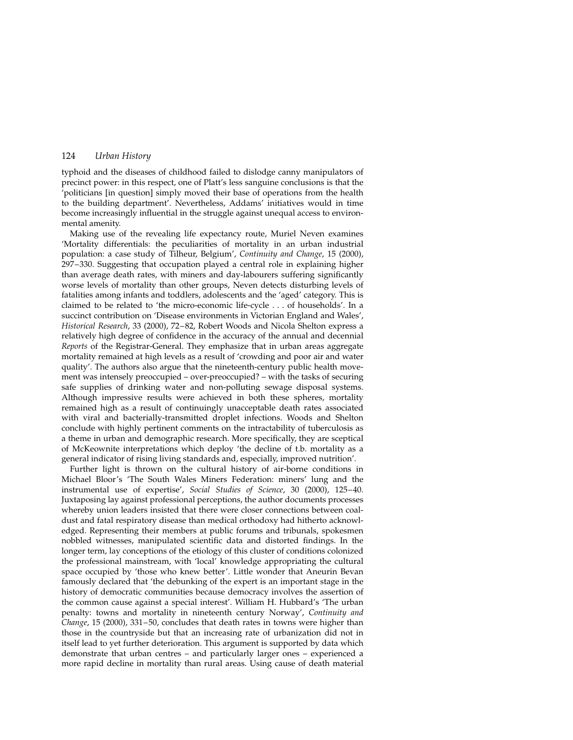typhoid and the diseases of childhood failed to dislodge canny manipulators of precinct power: in this respect, one of Platt's less sanguine conclusions is that the `politicians [in question] simply moved their base of operations from the health to the building department'. Nevertheless, Addams' initiatives would in time become increasingly influential in the struggle against unequal access to environmental amenity.

Making use of the revealing life expectancy route, Muriel Neven examines `Mortality differentials: the peculiarities of mortality in an urban industrial population: a case study of Tilheur, Belgium', Continuity and Change, 15 (2000), 297-330. Suggesting that occupation played a central role in explaining higher than average death rates, with miners and day-labourers suffering significantly worse levels of mortality than other groups, Neven detects disturbing levels of fatalities among infants and toddlers, adolescents and the 'aged' category. This is claimed to be related to `the micro-economic life-cycle . . . of households'. In a succinct contribution on 'Disease environments in Victorian England and Wales', Historical Research, 33 (2000), 72-82, Robert Woods and Nicola Shelton express a relatively high degree of confidence in the accuracy of the annual and decennial Reports of the Registrar-General. They emphasize that in urban areas aggregate mortality remained at high levels as a result of 'crowding and poor air and water quality'. The authors also argue that the nineteenth-century public health movement was intensely preoccupied – over-preoccupied? – with the tasks of securing safe supplies of drinking water and non-polluting sewage disposal systems. Although impressive results were achieved in both these spheres, mortality remained high as a result of continuingly unacceptable death rates associated with viral and bacterially-transmitted droplet infections. Woods and Shelton conclude with highly pertinent comments on the intractability of tuberculosis as a theme in urban and demographic research. More specifically, they are sceptical of McKeownite interpretations which deploy `the decline of t.b. mortality as a general indicator of rising living standards and, especially, improved nutrition'.

Further light is thrown on the cultural history of air-borne conditions in Michael Bloor's 'The South Wales Miners Federation: miners' lung and the instrumental use of expertise', Social Studies of Science, 30 (2000), 125-40. Juxtaposing lay against professional perceptions, the author documents processes whereby union leaders insisted that there were closer connections between coaldust and fatal respiratory disease than medical orthodoxy had hitherto acknowledged. Representing their members at public forums and tribunals, spokesmen nobbled witnesses, manipulated scientific data and distorted findings. In the longer term, lay conceptions of the etiology of this cluster of conditions colonized the professional mainstream, with 'local' knowledge appropriating the cultural space occupied by 'those who knew better'. Little wonder that Aneurin Bevan famously declared that 'the debunking of the expert is an important stage in the history of democratic communities because democracy involves the assertion of the common cause against a special interest'. William H. Hubbard's `The urban penalty: towns and mortality in nineteenth century Norway', Continuity and Change, 15 (2000), 331-50, concludes that death rates in towns were higher than those in the countryside but that an increasing rate of urbanization did not in itself lead to yet further deterioration. This argument is supported by data which demonstrate that urban centres  $-$  and particularly larger ones  $-$  experienced a more rapid decline in mortality than rural areas. Using cause of death material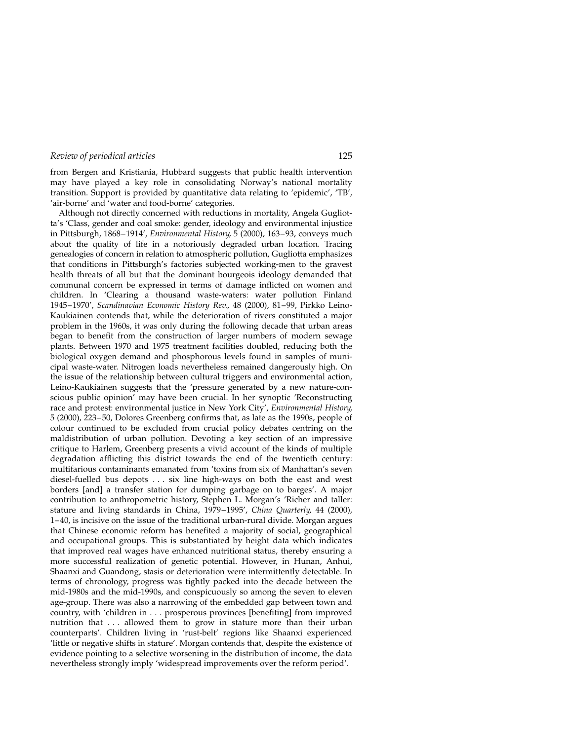from Bergen and Kristiania, Hubbard suggests that public health intervention may have played a key role in consolidating Norway's national mortality transition. Support is provided by quantitative data relating to `epidemic', `TB', 'air-borne' and 'water and food-borne' categories.

Although not directly concerned with reductions in mortality, Angela Gugliotta's 'Class, gender and coal smoke: gender, ideology and environmental injustice in Pittsburgh, 1868-1914', Environmental History, 5 (2000), 163-93, conveys much about the quality of life in a notoriously degraded urban location. Tracing genealogies of concern in relation to atmospheric pollution, Gugliotta emphasizes that conditions in Pittsburgh's factories subjected working-men to the gravest health threats of all but that the dominant bourgeois ideology demanded that communal concern be expressed in terms of damage inflicted on women and children. In 'Clearing a thousand waste-waters: water pollution Finland 1945-1970', Scandinavian Economic History Rev., 48 (2000), 81-99, Pirkko Leino-Kaukiainen contends that, while the deterioration of rivers constituted a major problem in the 1960s, it was only during the following decade that urban areas began to benefit from the construction of larger numbers of modern sewage plants. Between 1970 and 1975 treatment facilities doubled, reducing both the biological oxygen demand and phosphorous levels found in samples of municipal waste-water. Nitrogen loads nevertheless remained dangerously high. On the issue of the relationship between cultural triggers and environmental action, Leino-Kaukiainen suggests that the 'pressure generated by a new nature-conscious public opinion' may have been crucial. In her synoptic `Reconstructing race and protest: environmental justice in New York City', Environmental History, 5 (2000), 223-50, Dolores Greenberg confirms that, as late as the 1990s, people of colour continued to be excluded from crucial policy debates centring on the maldistribution of urban pollution. Devoting a key section of an impressive critique to Harlem, Greenberg presents a vivid account of the kinds of multiple degradation afflicting this district towards the end of the twentieth century: multifarious contaminants emanated from 'toxins from six of Manhattan's seven diesel-fuelled bus depots . . . six line high-ways on both the east and west borders [and] a transfer station for dumping garbage on to barges'. A major contribution to anthropometric history, Stephen L. Morgan's 'Richer and taller: stature and living standards in China, 1979-1995', China Quarterly, 44 (2000), 1±40, is incisive on the issue of the traditional urban-rural divide. Morgan argues that Chinese economic reform has benefited a majority of social, geographical and occupational groups. This is substantiated by height data which indicates that improved real wages have enhanced nutritional status, thereby ensuring a more successful realization of genetic potential. However, in Hunan, Anhui, Shaanxi and Guandong, stasis or deterioration were intermittently detectable. In terms of chronology, progress was tightly packed into the decade between the mid-1980s and the mid-1990s, and conspicuously so among the seven to eleven age-group. There was also a narrowing of the embedded gap between town and country, with 'children in . . . prosperous provinces [benefiting] from improved nutrition that . . . allowed them to grow in stature more than their urban counterparts'. Children living in `rust-belt' regions like Shaanxi experienced `little or negative shifts in stature'. Morgan contends that, despite the existence of evidence pointing to a selective worsening in the distribution of income, the data nevertheless strongly imply 'widespread improvements over the reform period'.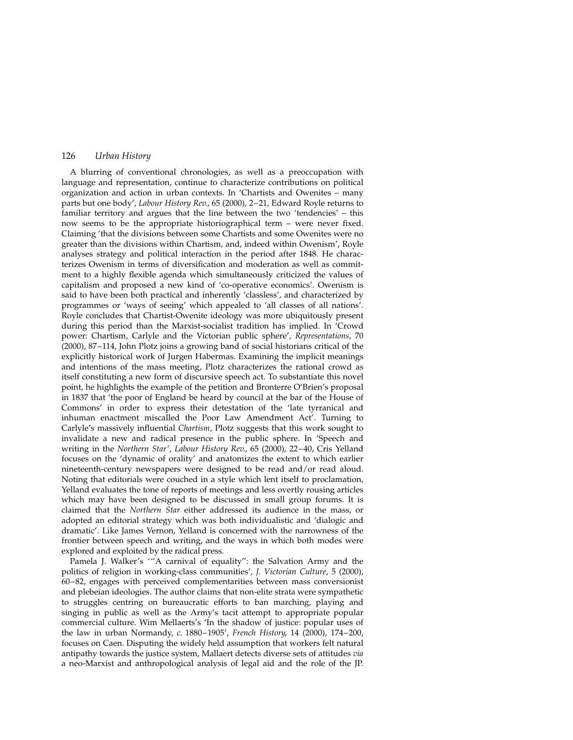A blurring of conventional chronologies, as well as a preoccupation with language and representation, continue to characterize contributions on political organization and action in urban contexts. In 'Chartists and Owenites – many parts but one body', Labour History Rev., 65 (2000), 2-21, Edward Royle returns to familiar territory and argues that the line between the two 'tendencies'  $-$  this now seems to be the appropriate historiographical term  $-$  were never fixed. Claiming 'that the divisions between some Chartists and some Owenites were no greater than the divisions within Chartism, and, indeed within Owenism', Royle analyses strategy and political interaction in the period after 1848. He characterizes Owenism in terms of diversification and moderation as well as commitment to a highly flexible agenda which simultaneously criticized the values of capitalism and proposed a new kind of 'co-operative economics'. Owenism is said to have been both practical and inherently 'classless', and characterized by programmes or `ways of seeing' which appealed to `all classes of all nations'. Royle concludes that Chartist-Owenite ideology was more ubiquitously present during this period than the Marxist-socialist tradition has implied. In `Crowd power: Chartism, Carlyle and the Victorian public sphere', Representations, 70  $(2000)$ ,  $87-114$ , John Plotz joins a growing band of social historians critical of the explicitly historical work of Jurgen Habermas. Examining the implicit meanings and intentions of the mass meeting, Plotz characterizes the rational crowd as itself constituting a new form of discursive speech act. To substantiate this novel point, he highlights the example of the petition and Bronterre O`Brien's proposal in 1837 that 'the poor of England be heard by council at the bar of the House of Commons' in order to express their detestation of the 'late tyrranical and inhuman enactment miscalled the Poor Law Amendment Act'. Turning to Carlyle's massively influential Chartism, Plotz suggests that this work sought to invalidate a new and radical presence in the public sphere. In `Speech and writing in the Northern Star', Labour History Rev., 65 (2000), 22-40, Cris Yelland focuses on the `dynamic of orality' and anatomizes the extent to which earlier nineteenth-century newspapers were designed to be read and/or read aloud. Noting that editorials were couched in a style which lent itself to proclamation, Yelland evaluates the tone of reports of meetings and less overtly rousing articles which may have been designed to be discussed in small group forums. It is claimed that the Northern Star either addressed its audience in the mass, or adopted an editorial strategy which was both individualistic and `dialogic and dramatic'. Like James Vernon, Yelland is concerned with the narrowness of the frontier between speech and writing, and the ways in which both modes were explored and exploited by the radical press.

Pamela J. Walker's '"A carnival of equality": the Salvation Army and the politics of religion in working-class communities', J. Victorian Culture, 5 (2000), 60±82, engages with perceived complementarities between mass conversionist and plebeian ideologies. The author claims that non-elite strata were sympathetic to struggles centring on bureaucratic efforts to ban marching, playing and singing in public as well as the Army's tacit attempt to appropriate popular commercial culture. Wim Mellaerts's 'In the shadow of justice: popular uses of the law in urban Normandy,  $c. 1880-1905'$ , French History, 14 (2000), 174-200, focuses on Caen. Disputing the widely held assumption that workers felt natural antipathy towards the justice system, Mallaert detects diverse sets of attitudes via a neo-Marxist and anthropological analysis of legal aid and the role of the JP.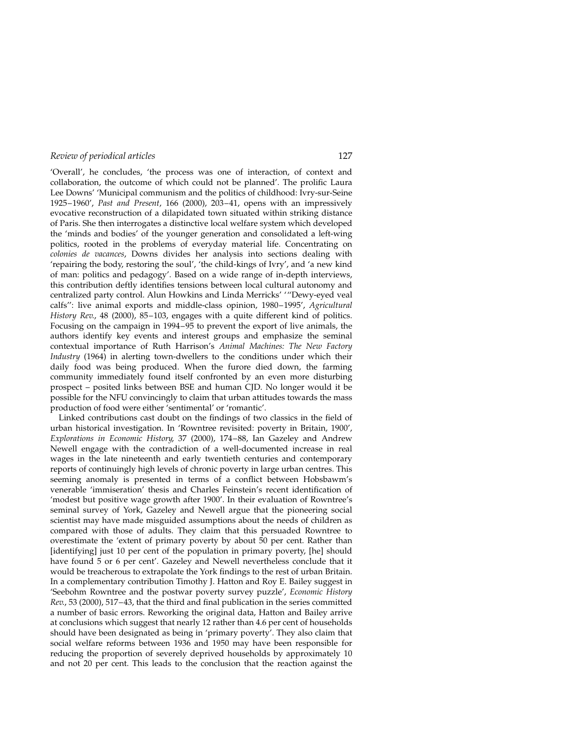'Overall', he concludes, 'the process was one of interaction, of context and collaboration, the outcome of which could not be planned'. The prolific Laura Lee Downs' `Municipal communism and the politics of childhood: Ivry-sur-Seine 1925-1960', Past and Present, 166 (2000), 203-41, opens with an impressively evocative reconstruction of a dilapidated town situated within striking distance of Paris. She then interrogates a distinctive local welfare system which developed the 'minds and bodies' of the younger generation and consolidated a left-wing politics, rooted in the problems of everyday material life. Concentrating on colonies de vacances, Downs divides her analysis into sections dealing with `repairing the body, restoring the soul', `the child-kings of Ivry', and `a new kind of man: politics and pedagogy'. Based on a wide range of in-depth interviews, this contribution deftly identifies tensions between local cultural autonomy and centralized party control. Alun Howkins and Linda Merricks' "Dewy-eyed veal calfs": live animal exports and middle-class opinion, 1980-1995', Agricultural History Rev., 48 (2000), 85–103, engages with a quite different kind of politics. Focusing on the campaign in 1994–95 to prevent the export of live animals, the authors identify key events and interest groups and emphasize the seminal contextual importance of Ruth Harrison's Animal Machines: The New Factory Industry (1964) in alerting town-dwellers to the conditions under which their daily food was being produced. When the furore died down, the farming community immediately found itself confronted by an even more disturbing prospect ± posited links between BSE and human CJD. No longer would it be possible for the NFU convincingly to claim that urban attitudes towards the mass production of food were either 'sentimental' or 'romantic'.

Linked contributions cast doubt on the findings of two classics in the field of urban historical investigation. In `Rowntree revisited: poverty in Britain, 1900', Explorations in Economic History, 37 (2000), 174-88, Ian Gazeley and Andrew Newell engage with the contradiction of a well-documented increase in real wages in the late nineteenth and early twentieth centuries and contemporary reports of continuingly high levels of chronic poverty in large urban centres. This seeming anomaly is presented in terms of a conflict between Hobsbawm's venerable 'immiseration' thesis and Charles Feinstein's recent identification of `modest but positive wage growth after 1900'. In their evaluation of Rowntree's seminal survey of York, Gazeley and Newell argue that the pioneering social scientist may have made misguided assumptions about the needs of children as compared with those of adults. They claim that this persuaded Rowntree to overestimate the 'extent of primary poverty by about 50 per cent. Rather than [identifying] just 10 per cent of the population in primary poverty, [he] should have found 5 or 6 per cent'. Gazeley and Newell nevertheless conclude that it would be treacherous to extrapolate the York findings to the rest of urban Britain. In a complementary contribution Timothy J. Hatton and Roy E. Bailey suggest in `Seebohm Rowntree and the postwar poverty survey puzzle', Economic History Rev., 53 (2000), 517-43, that the third and final publication in the series committed a number of basic errors. Reworking the original data, Hatton and Bailey arrive at conclusions which suggest that nearly 12 rather than 4.6 per cent of households should have been designated as being in 'primary poverty'. They also claim that social welfare reforms between 1936 and 1950 may have been responsible for reducing the proportion of severely deprived households by approximately 10 and not 20 per cent. This leads to the conclusion that the reaction against the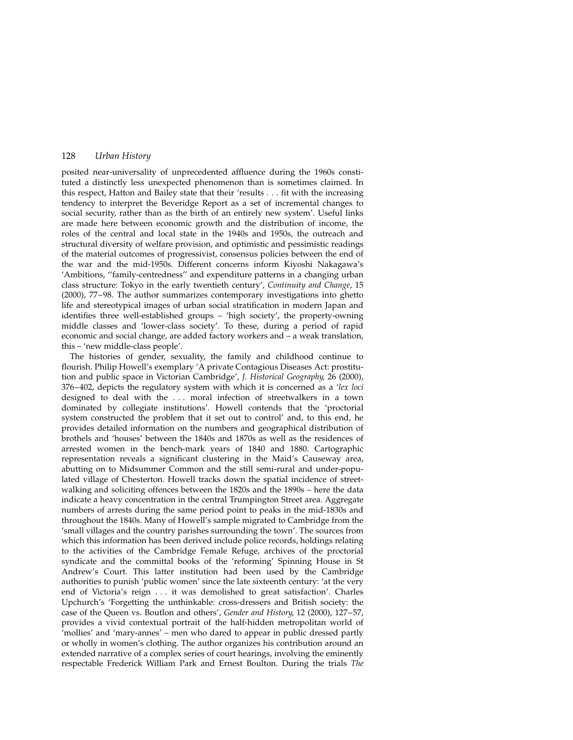posited near-universality of unprecedented affluence during the 1960s constituted a distinctly less unexpected phenomenon than is sometimes claimed. In this respect, Hatton and Bailey state that their  $\gamma$  results  $\dots$  fit with the increasing tendency to interpret the Beveridge Report as a set of incremental changes to social security, rather than as the birth of an entirely new system'. Useful links are made here between economic growth and the distribution of income, the roles of the central and local state in the 1940s and 1950s, the outreach and structural diversity of welfare provision, and optimistic and pessimistic readings of the material outcomes of progressivist, consensus policies between the end of the war and the mid-1950s. Different concerns inform Kiyoshi Nakagawa's 'Ambitions, "family-centredness" and expenditure patterns in a changing urban class structure: Tokyo in the early twentieth century', Continuity and Change, 15 (2000), 77–98. The author summarizes contemporary investigations into ghetto life and stereotypical images of urban social stratification in modern Japan and identifies three well-established groups - 'high society', the property-owning middle classes and `lower-class society'. To these, during a period of rapid economic and social change, are added factory workers and  $-$  a weak translation, this - 'new middle-class people'.

The histories of gender, sexuality, the family and childhood continue to flourish. Philip Howell's exemplary 'A private Contagious Diseases Act: prostitution and public space in Victorian Cambridge', J. Historical Geography, 26 (2000),  $376-402$ , depicts the regulatory system with which it is concerned as a 'lex loci designed to deal with the . . . moral infection of streetwalkers in a town dominated by collegiate institutions'. Howell contends that the `proctorial system constructed the problem that it set out to control' and, to this end, he provides detailed information on the numbers and geographical distribution of brothels and `houses' between the 1840s and 1870s as well as the residences of arrested women in the bench-mark years of 1840 and 1880. Cartographic representation reveals a significant clustering in the Maid's Causeway area, abutting on to Midsummer Common and the still semi-rural and under-populated village of Chesterton. Howell tracks down the spatial incidence of streetwalking and soliciting offences between the 1820s and the 1890s - here the data indicate a heavy concentration in the central Trumpington Street area. Aggregate numbers of arrests during the same period point to peaks in the mid-1830s and throughout the 1840s. Many of Howell's sample migrated to Cambridge from the `small villages and the country parishes surrounding the town'. The sources from which this information has been derived include police records, holdings relating to the activities of the Cambridge Female Refuge, archives of the proctorial syndicate and the committal books of the 'reforming' Spinning House in St Andrew's Court. This latter institution had been used by the Cambridge authorities to punish 'public women' since the late sixteenth century: 'at the very end of Victoria's reign . . . it was demolished to great satisfaction'. Charles Upchurch's 'Forgetting the unthinkable: cross-dressers and British society: the case of the Queen vs. Boutlon and others', Gender and History, 12 (2000), 127-57, provides a vivid contextual portrait of the half-hidden metropolitan world of 'mollies' and 'mary-annes' – men who dared to appear in public dressed partly or wholly in women's clothing. The author organizes his contribution around an extended narrative of a complex series of court hearings, involving the eminently respectable Frederick William Park and Ernest Boulton. During the trials The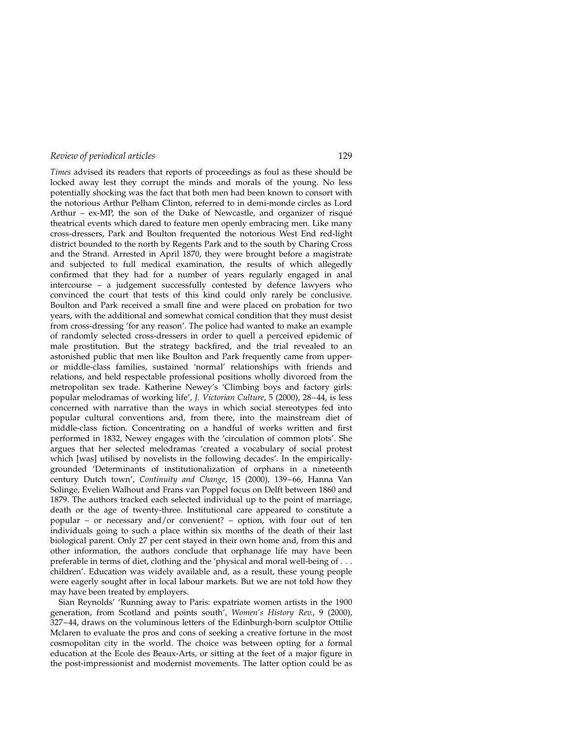Times advised its readers that reports of proceedings as foul as these should be locked away lest they corrupt the minds and morals of the young. No less potentially shocking was the fact that both men had been known to consort with the notorious Arthur Pelham Clinton, referred to in demi-monde circles as Lord Arthur  $-$  ex-MP, the son of the Duke of Newcastle, and organizer of risqué theatrical events which dared to feature men openly embracing men. Like many cross-dressers, Park and Boulton frequented the notorious West End red-light district bounded to the north by Regents Park and to the south by Charing Cross and the Strand. Arrested in April 1870, they were brought before a magistrate and subjected to full medical examination, the results of which allegedly confirmed that they had for a number of years regularly engaged in anal intercourse - a judgement successfully contested by defence lawyers who convinced the court that tests of this kind could only rarely be conclusive. Boulton and Park received a small fine and were placed on probation for two years, with the additional and somewhat comical condition that they must desist from cross-dressing 'for any reason'. The police had wanted to make an example of randomly selected cross-dressers in order to quell a perceived epidemic of male prostitution. But the strategy backfired, and the trial revealed to an astonished public that men like Boulton and Park frequently came from upperor middle-class families, sustained `normal' relationships with friends and relations, and held respectable professional positions wholly divorced from the metropolitan sex trade. Katherine Newey's `Climbing boys and factory girls: popular melodramas of working life', J. Victorian Culture, 5 (2000), 28-44, is less concerned with narrative than the ways in which social stereotypes fed into popular cultural conventions and, from there, into the mainstream diet of middle-class fiction. Concentrating on a handful of works written and first performed in 1832, Newey engages with the 'circulation of common plots'. She argues that her selected melodramas 'created a vocabulary of social protest which [was] utilised by novelists in the following decades'. In the empiricallygrounded `Determinants of institutionalization of orphans in a nineteenth century Dutch town', Continuity and Change, 15 (2000), 139-66, Hanna Van Solinge, Evelien Walhout and Frans van Poppel focus on Delft between 1860 and 1879. The authors tracked each selected individual up to the point of marriage, death or the age of twenty-three. Institutional care appeared to constitute a popular - or necessary and/or convenient? - option, with four out of ten individuals going to such a place within six months of the death of their last biological parent. Only 27 per cent stayed in their own home and, from this and other information, the authors conclude that orphanage life may have been preferable in terms of diet, clothing and the 'physical and moral well-being of . . . children'. Education was widely available and, as a result, these young people were eagerly sought after in local labour markets. But we are not told how they may have been treated by employers.

Sian Reynolds' 'Running away to Paris: expatriate women artists in the 1900 generation, from Scotland and points south', Women's History Rev., 9 (2000), 327-44, draws on the voluminous letters of the Edinburgh-born sculptor Ottilie Mclaren to evaluate the pros and cons of seeking a creative fortune in the most cosmopolitan city in the world. The choice was between opting for a formal education at the Ecole des Beaux-Arts, or sitting at the feet of a major figure in the post-impressionist and modernist movements. The latter option could be as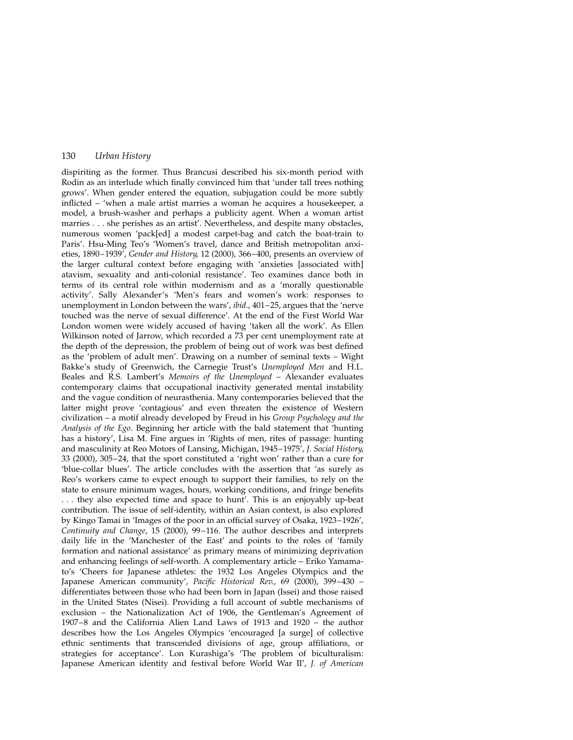dispiriting as the former. Thus Brancusi described his six-month period with Rodin as an interlude which finally convinced him that 'under tall trees nothing grows'. When gender entered the equation, subjugation could be more subtly inflicted - 'when a male artist marries a woman he acquires a housekeeper, a model, a brush-washer and perhaps a publicity agent. When a woman artist marries . . . she perishes as an artist'. Nevertheless, and despite many obstacles, numerous women 'pack[ed] a modest carpet-bag and catch the boat-train to Paris'. Hsu-Ming Teo's 'Women's travel, dance and British metropolitan anxieties, 1890-1939', Gender and History, 12 (2000), 366-400, presents an overview of the larger cultural context before engaging with `anxieties [associated with] atavism, sexuality and anti-colonial resistance'. Teo examines dance both in terms of its central role within modernism and as a 'morally questionable activity'. Sally Alexander's `Men's fears and women's work: responses to unemployment in London between the wars', *ibid.*,  $401-25$ , argues that the 'nerve touched was the nerve of sexual difference'. At the end of the First World War London women were widely accused of having 'taken all the work'. As Ellen Wilkinson noted of Jarrow, which recorded a 73 per cent unemployment rate at the depth of the depression, the problem of being out of work was best defined as the 'problem of adult men'. Drawing on a number of seminal texts  $-$  Wight Bakke's study of Greenwich, the Carnegie Trust's Unemployed Men and H.L. Beales and R.S. Lambert's Memoirs of the Unemployed - Alexander evaluates contemporary claims that occupational inactivity generated mental instability and the vague condition of neurasthenia. Many contemporaries believed that the latter might prove 'contagious' and even threaten the existence of Western civilization - a motif already developed by Freud in his Group Psychology and the Analysis of the Ego. Beginning her article with the bald statement that `hunting has a history', Lisa M. Fine argues in 'Rights of men, rites of passage: hunting and masculinity at Reo Motors of Lansing, Michigan, 1945-1975', J. Social History, 33 (2000),  $305-24$ , that the sport constituted a 'right won' rather than a cure for `blue-collar blues'. The article concludes with the assertion that `as surely as Reo's workers came to expect enough to support their families, to rely on the state to ensure minimum wages, hours, working conditions, and fringe benefits . . . they also expected time and space to hunt'. This is an enjoyably up-beat contribution. The issue of self-identity, within an Asian context, is also explored by Kingo Tamai in 'Images of the poor in an official survey of Osaka, 1923-1926', Continuity and Change, 15 (2000), 99-116. The author describes and interprets daily life in the 'Manchester of the East' and points to the roles of 'family formation and national assistance' as primary means of minimizing deprivation and enhancing feelings of self-worth. A complementary article - Eriko Yamamato's `Cheers for Japanese athletes: the 1932 Los Angeles Olympics and the Japanese American community', Pacific Historical Rev., 69 (2000), 399-430 differentiates between those who had been born in Japan (Issei) and those raised in the United States (Nisei). Providing a full account of subtle mechanisms of exclusion - the Nationalization Act of 1906, the Gentleman's Agreement of 1907 $-8$  and the California Alien Land Laws of 1913 and 1920  $-$  the author describes how the Los Angeles Olympics `encouraged [a surge] of collective ethnic sentiments that transcended divisions of age, group affiliations, or strategies for acceptance'. Lon Kurashiga's `The problem of biculturalism: Japanese American identity and festival before World War II', J. of American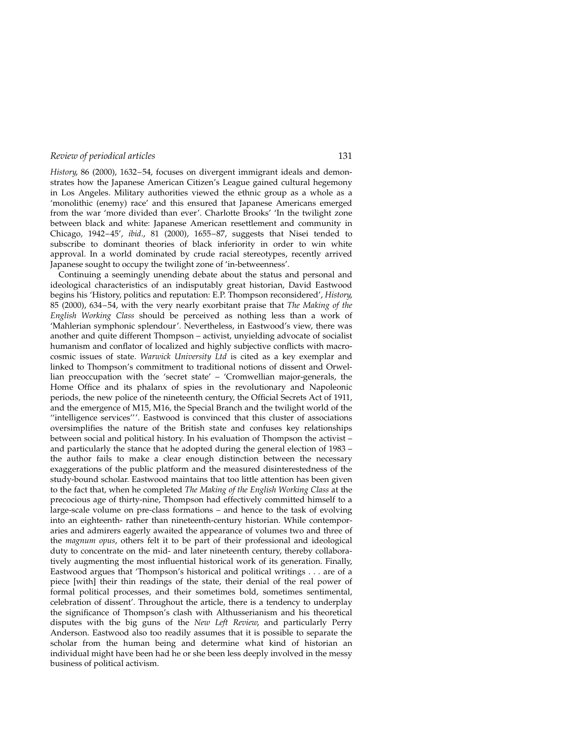History, 86 (2000), 1632-54, focuses on divergent immigrant ideals and demonstrates how the Japanese American Citizen's League gained cultural hegemony in Los Angeles. Military authorities viewed the ethnic group as a whole as a `monolithic (enemy) race' and this ensured that Japanese Americans emerged from the war 'more divided than ever'. Charlotte Brooks' 'In the twilight zone between black and white: Japanese American resettlement and community in Chicago,  $1942-45'$ , ibid.,  $81(2000)$ ,  $1655-87$ , suggests that Nisei tended to subscribe to dominant theories of black inferiority in order to win white approval. In a world dominated by crude racial stereotypes, recently arrived Japanese sought to occupy the twilight zone of 'in-betweenness'.

Continuing a seemingly unending debate about the status and personal and ideological characteristics of an indisputably great historian, David Eastwood begins his 'History, politics and reputation: E.P. Thompson reconsidered', History, 85 (2000), 634-54, with the very nearly exorbitant praise that The Making of the English Working Class should be perceived as nothing less than a work of `Mahlerian symphonic splendour'. Nevertheless, in Eastwood's view, there was another and quite different Thompson - activist, unyielding advocate of socialist humanism and conflator of localized and highly subjective conflicts with macrocosmic issues of state. Warwick University Ltd is cited as a key exemplar and linked to Thompson's commitment to traditional notions of dissent and Orwellian preoccupation with the 'secret state'  $-$  'Cromwellian major-generals, the Home Office and its phalanx of spies in the revolutionary and Napoleonic periods, the new police of the nineteenth century, the Official Secrets Act of 1911, and the emergence of M15, M16, the Special Branch and the twilight world of the "intelligence services"'. Eastwood is convinced that this cluster of associations oversimplifies the nature of the British state and confuses key relationships between social and political history. In his evaluation of Thompson the activist and particularly the stance that he adopted during the general election of  $1983$ the author fails to make a clear enough distinction between the necessary exaggerations of the public platform and the measured disinterestedness of the study-bound scholar. Eastwood maintains that too little attention has been given to the fact that, when he completed The Making of the English Working Class at the precocious age of thirty-nine, Thompson had effectively committed himself to a large-scale volume on pre-class formations  $-$  and hence to the task of evolving into an eighteenth- rather than nineteenth-century historian. While contemporaries and admirers eagerly awaited the appearance of volumes two and three of the magnum opus, others felt it to be part of their professional and ideological duty to concentrate on the mid- and later nineteenth century, thereby collaboratively augmenting the most influential historical work of its generation. Finally, Eastwood argues that `Thompson's historical and political writings . . . are of a piece [with] their thin readings of the state, their denial of the real power of formal political processes, and their sometimes bold, sometimes sentimental, celebration of dissent'. Throughout the article, there is a tendency to underplay the significance of Thompson's clash with Althusserianism and his theoretical disputes with the big guns of the New Left Review, and particularly Perry Anderson. Eastwood also too readily assumes that it is possible to separate the scholar from the human being and determine what kind of historian an individual might have been had he or she been less deeply involved in the messy business of political activism.